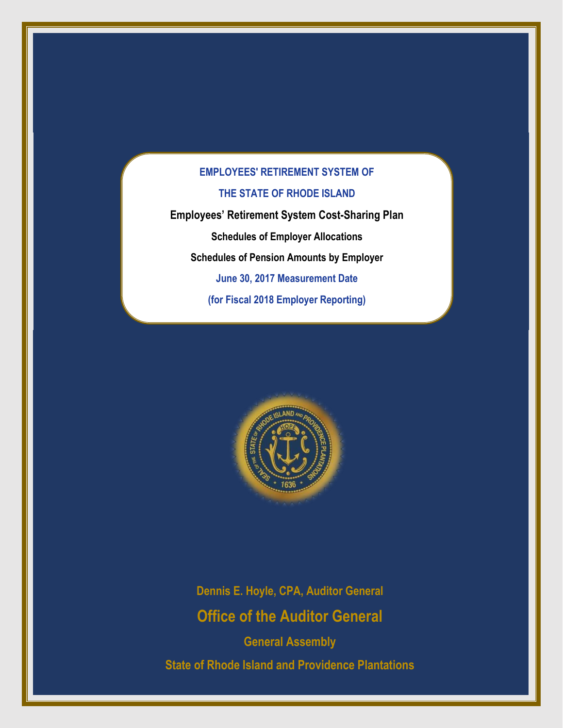**Employees' Retirement System Cost-Sharing Plan Schedules of Employer Allocations Schedules of Pension Amounts by Employer June 30, 2017 Measurement Date (for Fiscal 2018 Employer Reporting)**



**Dennis E. Hoyle, CPA, Auditor General Office of the Auditor General**

**General Assembly State of Rhode Island and Providence Plantations**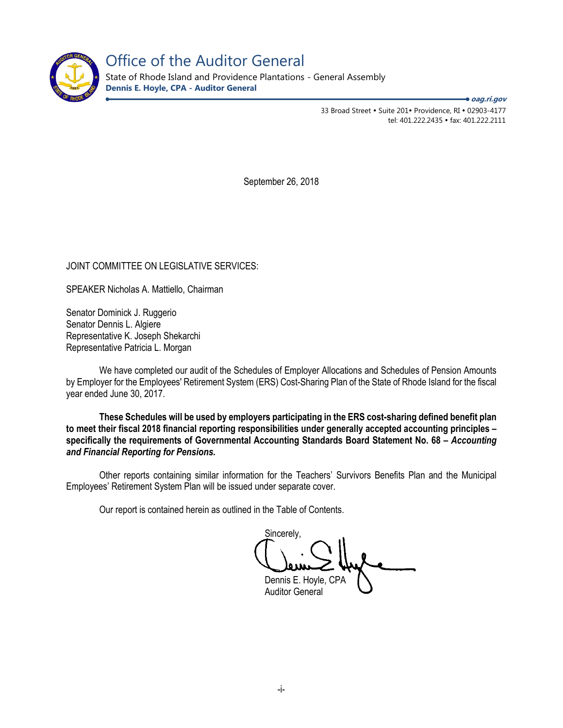

Office of the Auditor General

State of Rhode Island and Providence Plantations - General Assembly **Dennis E. Hoyle, CPA - Auditor General**

**oag.ri.gov**

33 Broad Street • Suite 201• Providence, RI • 02903-4177 tel: 401.222.2435 fax: 401.222.2111

September 26, 2018

JOINT COMMITTEE ON LEGISLATIVE SERVICES:

SPEAKER Nicholas A. Mattiello, Chairman

Senator Dominick J. Ruggerio Senator Dennis L. Algiere Representative K. Joseph Shekarchi Representative Patricia L. Morgan

We have completed our audit of the Schedules of Employer Allocations and Schedules of Pension Amounts by Employer for the Employees' Retirement System (ERS) Cost-Sharing Plan of the State of Rhode Island for the fiscal year ended June 30, 2017.

**These Schedules will be used by employers participating in the ERS cost-sharing defined benefit plan to meet their fiscal 2018 financial reporting responsibilities under generally accepted accounting principles – specifically the requirements of Governmental Accounting Standards Board Statement No. 68 –** *Accounting and Financial Reporting for Pensions.* 

Other reports containing similar information for the Teachers' Survivors Benefits Plan and the Municipal Employees' Retirement System Plan will be issued under separate cover.

Our report is contained herein as outlined in the Table of Contents.

Sincerely, Dennis E. Hoyle, CPA Auditor General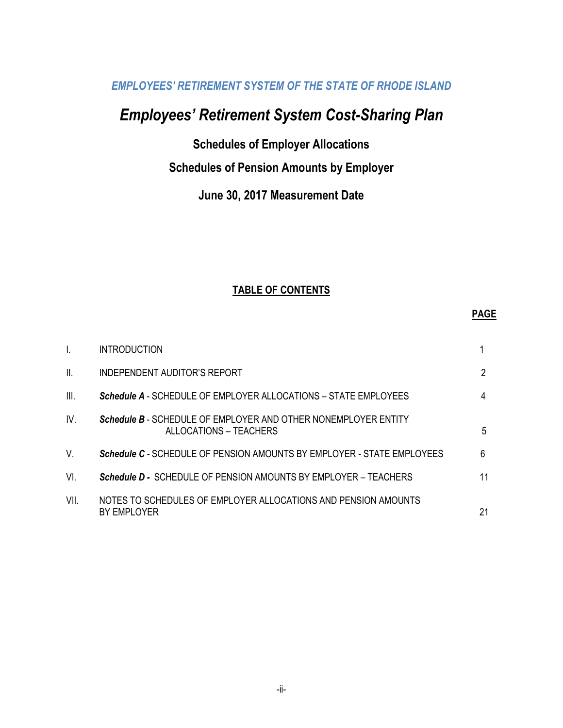# *Employees' Retirement System Cost-Sharing Plan*

**Schedules of Employer Allocations**

## **Schedules of Pension Amounts by Employer**

## **June 30, 2017 Measurement Date**

## **TABLE OF CONTENTS**

#### **PAGE**

| $\overline{1}$ . | <b>INTRODUCTION</b>                                                                             |    |
|------------------|-------------------------------------------------------------------------------------------------|----|
| $\mathbf{II}$ .  | INDEPENDENT AUDITOR'S REPORT                                                                    | 2  |
| III.             | Schedule A - SCHEDULE OF EMPLOYER ALLOCATIONS - STATE EMPLOYEES                                 | 4  |
| IV.              | <b>Schedule B - SCHEDULE OF EMPLOYER AND OTHER NONEMPLOYER ENTITY</b><br>ALLOCATIONS – TEACHERS | 5  |
| V.               | Schedule C - SCHEDULE OF PENSION AMOUNTS BY EMPLOYER - STATE EMPLOYEES                          | 6  |
| VI.              | <b>Schedule D - SCHEDULE OF PENSION AMOUNTS BY EMPLOYER – TEACHERS</b>                          | 11 |
| VII.             | NOTES TO SCHEDULES OF EMPLOYER ALLOCATIONS AND PENSION AMOUNTS<br>BY EMPLOYER                   | 21 |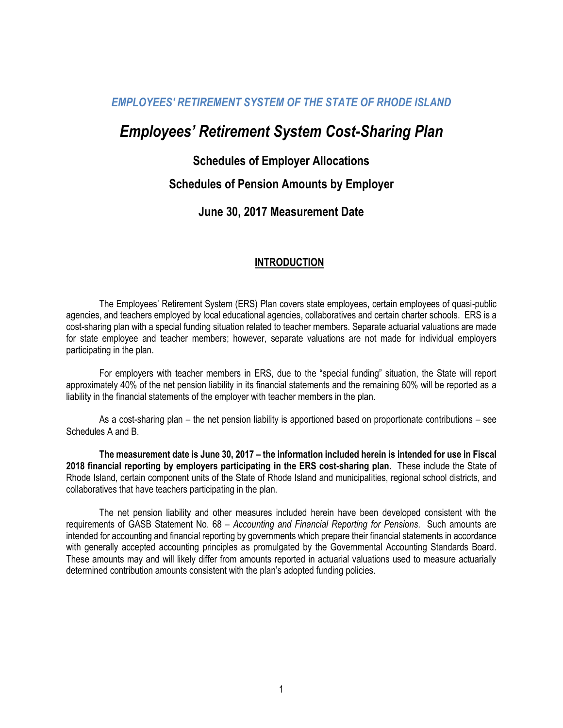# *Employees' Retirement System Cost-Sharing Plan*

## **Schedules of Employer Allocations**

## **Schedules of Pension Amounts by Employer**

## **June 30, 2017 Measurement Date**

### **INTRODUCTION**

The Employees' Retirement System (ERS) Plan covers state employees, certain employees of quasi-public agencies, and teachers employed by local educational agencies, collaboratives and certain charter schools. ERS is a cost-sharing plan with a special funding situation related to teacher members. Separate actuarial valuations are made for state employee and teacher members; however, separate valuations are not made for individual employers participating in the plan.

For employers with teacher members in ERS, due to the "special funding" situation, the State will report approximately 40% of the net pension liability in its financial statements and the remaining 60% will be reported as a liability in the financial statements of the employer with teacher members in the plan.

As a cost-sharing plan – the net pension liability is apportioned based on proportionate contributions – see Schedules A and B.

**The measurement date is June 30, 2017 – the information included herein is intended for use in Fiscal 2018 financial reporting by employers participating in the ERS cost-sharing plan.** These include the State of Rhode Island, certain component units of the State of Rhode Island and municipalities, regional school districts, and collaboratives that have teachers participating in the plan.

The net pension liability and other measures included herein have been developed consistent with the requirements of GASB Statement No. 68 – *Accounting and Financial Reporting for Pensions*. Such amounts are intended for accounting and financial reporting by governments which prepare their financial statements in accordance with generally accepted accounting principles as promulgated by the Governmental Accounting Standards Board. These amounts may and will likely differ from amounts reported in actuarial valuations used to measure actuarially determined contribution amounts consistent with the plan's adopted funding policies.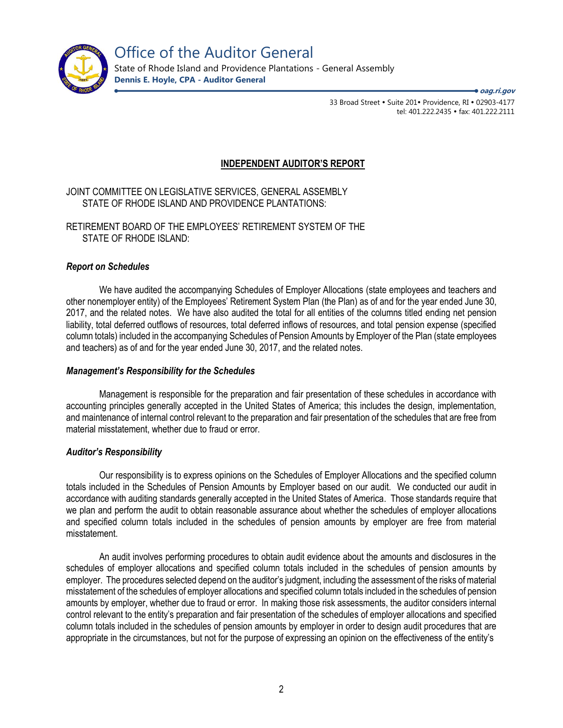

Office of the Auditor General

State of Rhode Island and Providence Plantations - General Assembly **Dennis E. Hoyle, CPA - Auditor General**

**oag.ri.gov**

33 Broad Street • Suite 201• Providence, RI • 02903-4177 tel: 401.222.2435 · fax: 401.222.2111

### **INDEPENDENT AUDITOR'S REPORT**

JOINT COMMITTEE ON LEGISLATIVE SERVICES, GENERAL ASSEMBLY STATE OF RHODE ISLAND AND PROVIDENCE PLANTATIONS:

RETIREMENT BOARD OF THE EMPLOYEES' RETIREMENT SYSTEM OF THE STATE OF RHODE ISLAND:

#### *Report on Schedules*

We have audited the accompanying Schedules of Employer Allocations (state employees and teachers and other nonemployer entity) of the Employees' Retirement System Plan (the Plan) as of and for the year ended June 30, 2017, and the related notes. We have also audited the total for all entities of the columns titled ending net pension liability, total deferred outflows of resources, total deferred inflows of resources, and total pension expense (specified column totals) included in the accompanying Schedules of Pension Amounts by Employer of the Plan (state employees and teachers) as of and for the year ended June 30, 2017, and the related notes.

#### *Management's Responsibility for the Schedules*

Management is responsible for the preparation and fair presentation of these schedules in accordance with accounting principles generally accepted in the United States of America; this includes the design, implementation, and maintenance of internal control relevant to the preparation and fair presentation of the schedules that are free from material misstatement, whether due to fraud or error.

### *Auditor's Responsibility*

Our responsibility is to express opinions on the Schedules of Employer Allocations and the specified column totals included in the Schedules of Pension Amounts by Employer based on our audit. We conducted our audit in accordance with auditing standards generally accepted in the United States of America. Those standards require that we plan and perform the audit to obtain reasonable assurance about whether the schedules of employer allocations and specified column totals included in the schedules of pension amounts by employer are free from material misstatement.

An audit involves performing procedures to obtain audit evidence about the amounts and disclosures in the schedules of employer allocations and specified column totals included in the schedules of pension amounts by employer. The procedures selected depend on the auditor's judgment, including the assessment of the risks of material misstatement of the schedules of employer allocations and specified column totals included in the schedules of pension amounts by employer, whether due to fraud or error. In making those risk assessments, the auditor considers internal control relevant to the entity's preparation and fair presentation of the schedules of employer allocations and specified column totals included in the schedules of pension amounts by employer in order to design audit procedures that are appropriate in the circumstances, but not for the purpose of expressing an opinion on the effectiveness of the entity's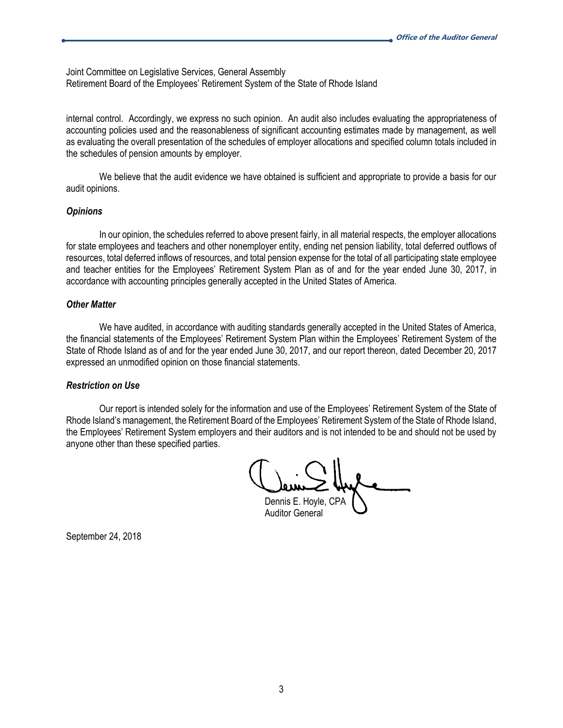Joint Committee on Legislative Services, General Assembly Retirement Board of the Employees' Retirement System of the State of Rhode Island

internal control. Accordingly, we express no such opinion. An audit also includes evaluating the appropriateness of accounting policies used and the reasonableness of significant accounting estimates made by management, as well as evaluating the overall presentation of the schedules of employer allocations and specified column totals included in the schedules of pension amounts by employer.

We believe that the audit evidence we have obtained is sufficient and appropriate to provide a basis for our audit opinions.

#### *Opinions*

In our opinion, the schedules referred to above present fairly, in all material respects, the employer allocations for state employees and teachers and other nonemployer entity, ending net pension liability, total deferred outflows of resources, total deferred inflows of resources, and total pension expense for the total of all participating state employee and teacher entities for the Employees' Retirement System Plan as of and for the year ended June 30, 2017, in accordance with accounting principles generally accepted in the United States of America.

#### *Other Matter*

We have audited, in accordance with auditing standards generally accepted in the United States of America, the financial statements of the Employees' Retirement System Plan within the Employees' Retirement System of the State of Rhode Island as of and for the year ended June 30, 2017, and our report thereon, dated December 20, 2017 expressed an unmodified opinion on those financial statements.

#### *Restriction on Use*

Our report is intended solely for the information and use of the Employees' Retirement System of the State of Rhode Island's management, the Retirement Board of the Employees' Retirement System of the State of Rhode Island, the Employees' Retirement System employers and their auditors and is not intended to be and should not be used by anyone other than these specified parties.

Dennis E. Hoyle, CPA Auditor General

September 24, 2018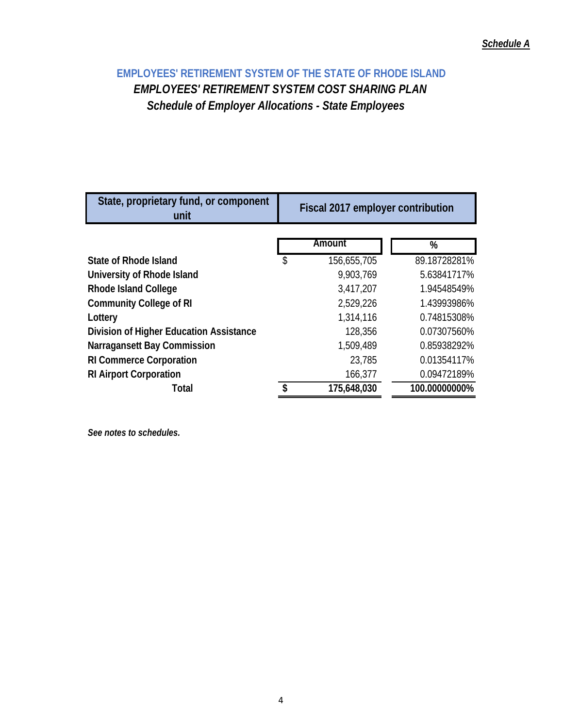## *Schedule A*

## **EMPLOYEES' RETIREMENT SYSTEM OF THE STATE OF RHODE ISLAND** *EMPLOYEES' RETIREMENT SYSTEM COST SHARING PLAN Schedule of Employer Allocations - State Employees*

| State, proprietary fund, or component<br>unit | Fiscal 2017 employer contribution |             |               |  |  |  |  |
|-----------------------------------------------|-----------------------------------|-------------|---------------|--|--|--|--|
|                                               |                                   | Amount      |               |  |  |  |  |
|                                               |                                   |             | %             |  |  |  |  |
| State of Rhode Island                         | \$                                | 156,655,705 | 89.18728281%  |  |  |  |  |
| University of Rhode Island                    |                                   | 9,903,769   | 5.63841717%   |  |  |  |  |
| <b>Rhode Island College</b>                   |                                   | 3,417,207   | 1.94548549%   |  |  |  |  |
| <b>Community College of RI</b>                |                                   | 2,529,226   | 1.43993986%   |  |  |  |  |
| Lottery                                       |                                   | 1,314,116   | 0.74815308%   |  |  |  |  |
| Division of Higher Education Assistance       |                                   | 128,356     | 0.07307560%   |  |  |  |  |
| <b>Narragansett Bay Commission</b>            |                                   | 1,509,489   | 0.85938292%   |  |  |  |  |
| <b>RI Commerce Corporation</b>                |                                   | 23,785      | 0.01354117%   |  |  |  |  |
| <b>RI Airport Corporation</b>                 |                                   | 166,377     | 0.09472189%   |  |  |  |  |
| <b>Total</b>                                  |                                   | 175,648,030 | 100.00000000% |  |  |  |  |

*See notes to schedules.*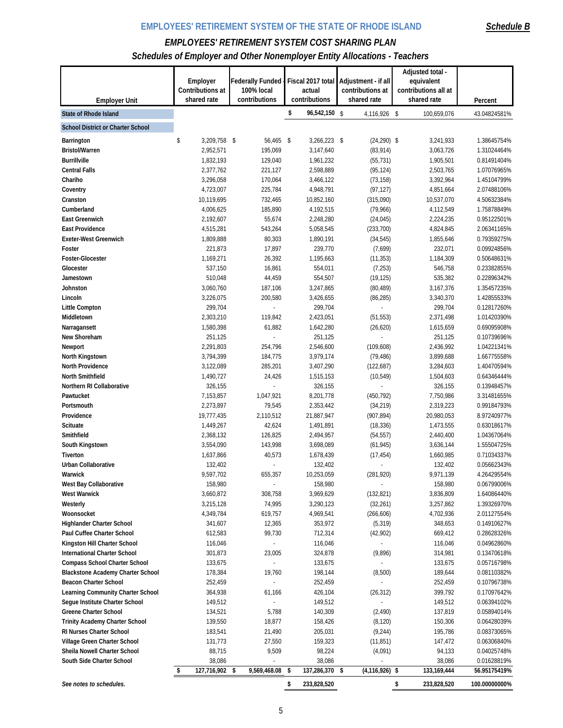## *Schedule B*

## *EMPLOYEES' RETIREMENT SYSTEM COST SHARING PLAN*

*Schedules of Employer and Other Nonemployer Entity Allocations - Teachers*

|                                              |                                 |                             |                         |                                 | Adjusted total -                    |                            |
|----------------------------------------------|---------------------------------|-----------------------------|-------------------------|---------------------------------|-------------------------------------|----------------------------|
|                                              | Employer                        | <b>Federally Funded</b>     | Fiscal 2017 total       | Adjustment - if all             | equivalent                          |                            |
| <b>Employer Unit</b>                         | Contributions at<br>shared rate | 100% local<br>contributions | actual<br>contributions | contributions at<br>shared rate | contributions all at<br>shared rate | Percent                    |
| <b>State of Rhode Island</b>                 |                                 |                             | \$<br>96,542,150 \$     | 4,116,926 \$                    | 100,659,076                         | 43.04824581%               |
| <b>School District or Charter School</b>     |                                 |                             |                         |                                 |                                     |                            |
|                                              |                                 |                             |                         |                                 |                                     |                            |
| Barrington                                   | \$<br>3,209,758 \$              | 56,465 \$                   | 3,266,223 \$            | $(24, 290)$ \$                  | 3,241,933                           | 1.38645754%                |
| <b>Bristol/Warren</b><br><b>Burrillville</b> | 2,952,571                       | 195,069                     | 3,147,640               | (83, 914)                       | 3,063,726                           | 1.31024464%                |
| <b>Central Falls</b>                         | 1,832,193<br>2,377,762          | 129,040                     | 1,961,232               | (55, 731)                       | 1,905,501<br>2,503,765              | 0.81491404%                |
| Chariho                                      |                                 | 221,127<br>170,064          | 2,598,889               | (95, 124)                       | 3,392,964                           | 1.07076965%<br>1.45104799% |
|                                              | 3,296,058<br>4,723,007          | 225,784                     | 3,466,122<br>4,948,791  | (73, 158)<br>(97, 127)          | 4,851,664                           | 2.07488106%                |
| Coventry                                     | 10,119,695                      | 732,465                     |                         |                                 | 10,537,070                          |                            |
| Cranston                                     |                                 |                             | 10,852,160              | (315,090)                       |                                     | 4.50632384%                |
| Cumberland<br><b>East Greenwich</b>          | 4,006,625<br>2,192,607          | 185,890<br>55,674           | 4,192,515<br>2,248,280  | (79,966)<br>(24, 045)           | 4,112,549<br>2,224,235              | 1.75878849%<br>0.95122501% |
|                                              |                                 |                             |                         |                                 |                                     |                            |
| <b>East Providence</b>                       | 4,515,281                       | 543,264<br>80,303           | 5,058,545               | (233, 700)                      | 4,824,845<br>1,855,646              | 2.06341165%<br>0.79359275% |
| <b>Exeter-West Greenwich</b><br>Foster       | 1,809,888<br>221,873            | 17,897                      | 1,890,191<br>239,770    | (34, 545)<br>(7,699)            | 232,071                             | 0.09924856%                |
| <b>Foster-Glocester</b>                      | 1,169,271                       | 26,392                      | 1,195,663               | (11, 353)                       | 1,184,309                           | 0.50648631%                |
| Glocester                                    | 537,150                         | 16,861                      | 554,011                 | (7, 253)                        | 546,758                             | 0.23382855%                |
| Jamestown                                    | 510,048                         | 44,459                      | 554,507                 | (19, 125)                       | 535,382                             | 0.22896342%                |
| Johnston                                     | 3,060,760                       | 187,106                     | 3,247,865               | (80, 489)                       | 3,167,376                           | 1.35457235%                |
| Lincoln                                      | 3,226,075                       | 200,580                     | 3,426,655               | (86, 285)                       | 3,340,370                           | 1.42855533%                |
| <b>Little Compton</b>                        | 299,704                         |                             | 299,704                 |                                 | 299,704                             | 0.12817260%                |
| Middletown                                   | 2,303,210                       | 119,842                     | 2,423,051               | (51, 553)                       | 2,371,498                           | 1.01420390%                |
| Narragansett                                 | 1,580,398                       | 61,882                      | 1,642,280               | (26, 620)                       | 1,615,659                           | 0.69095908%                |
| New Shoreham                                 | 251,125                         |                             | 251,125                 |                                 | 251,125                             | 0.10739696%                |
| Newport                                      | 2,291,803                       | 254,796                     | 2,546,600               | (109, 608)                      | 2,436,992                           | 1.04221341%                |
| North Kingstown                              | 3,794,399                       | 184,775                     | 3,979,174               | (79, 486)                       | 3,899,688                           | 1.66775558%                |
| <b>North Providence</b>                      | 3,122,089                       | 285,201                     | 3,407,290               | (122, 687)                      | 3,284,603                           | 1.40470594%                |
| North Smithfield                             | 1,490,727                       | 24,426                      | 1,515,153               | (10, 549)                       | 1,504,603                           | 0.64346444%                |
| Northern RI Collaborative                    | 326,155                         |                             | 326,155                 |                                 | 326,155                             | 0.13948457%                |
| Pawtucket                                    | 7,153,857                       | 1,047,921                   | 8,201,778               | (450, 792)                      | 7,750,986                           | 3.31481655%                |
| Portsmouth                                   | 2,273,897                       | 79,545                      | 2,353,442               | (34,219)                        | 2,319,223                           | 0.99184793%                |
| Providence                                   | 19,777,435                      | 2,110,512                   | 21,887,947              | (907, 894)                      | 20,980,053                          | 8.97240977%                |
| <b>Scituate</b>                              | 1,449,267                       | 42,624                      | 1,491,891               | (18, 336)                       | 1,473,555                           | 0.63018617%                |
| Smithfield                                   | 2,368,132                       | 126,825                     | 2,494,957               | (54, 557)                       | 2,440,400                           | 1.04367064%                |
| South Kingstown                              | 3,554,090                       | 143,998                     | 3,698,089               | (61, 945)                       | 3,636,144                           | 1.55504725%                |
| Tiverton                                     | 1,637,866                       | 40,573                      | 1,678,439               | (17, 454)                       | 1,660,985                           | 0.71034337%                |
| <b>Urban Collaborative</b>                   | 132,402                         |                             | 132,402                 |                                 | 132,402                             | 0.05662343%                |
| Warwick                                      | 9,597,702                       | 655,357                     | 10,253,059              | (281, 920)                      | 9,971,139                           | 4.26429554%                |
| West Bay Collaborative                       | 158,980                         |                             | 158,980                 |                                 | 158,980                             | 0.06799006%                |
| <b>West Warwick</b>                          | 3,660,872                       | 308,758                     | 3,969,629               | (132, 821)                      | 3,836,809                           | 1.64086440%                |
| Westerly                                     | 3,215,128                       | 74,995                      | 3,290,123               | (32, 261)                       | 3,257,862                           | 1.39326970%                |
| Woonsocket                                   | 4,349,784                       | 619,757                     | 4,969,541               | (266, 606)                      | 4,702,936                           | 2.01127554%                |
| <b>Highlander Charter School</b>             | 341,607                         | 12,365                      | 353,972                 | (5, 319)                        | 348,653                             | 0.14910627%                |
| Paul Cuffee Charter School                   | 612,583                         | 99,730                      | 712,314                 | (42,902)                        | 669,412                             | 0.28628326%                |
| Kingston Hill Charter School                 | 116,046                         |                             | 116,046                 |                                 | 116,046                             | 0.04962860%                |
| <b>International Charter School</b>          | 301,873                         | 23,005                      | 324,878                 | (9,896)                         | 314,981                             | 0.13470618%                |
| <b>Compass School Charter School</b>         | 133,675                         | $\overline{\phantom{a}}$    | 133,675                 |                                 | 133,675                             | 0.05716798%                |
| <b>Blackstone Academy Charter School</b>     | 178,384                         | 19,760                      | 198,144                 | (8,500)                         | 189,644                             | 0.08110382%                |
| <b>Beacon Charter School</b>                 | 252,459                         |                             | 252,459                 | ä,                              | 252,459                             | 0.10796738%                |
| Learning Community Charter School            | 364,938                         | 61,166                      | 426,104                 | (26, 312)                       | 399,792                             | 0.17097642%                |
| Segue Institute Charter School               | 149,512                         |                             | 149,512                 |                                 | 149,512                             | 0.06394102%                |
| <b>Greene Charter School</b>                 | 134,521                         | 5,788                       | 140,309                 | (2, 490)                        | 137,819                             | 0.05894014%                |
| <b>Trinity Academy Charter School</b>        | 139,550                         | 18,877                      | 158,426                 | (8, 120)                        | 150,306                             | 0.06428039%                |
| <b>RI Nurses Charter School</b>              | 183,541                         | 21,490                      | 205,031                 | (9, 244)                        | 195,786                             | 0.08373065%                |
| Village Green Charter School                 | 131,773                         | 27,550                      | 159,323                 | (11, 851)                       | 147,472                             | 0.06306840%                |
| Sheila Nowell Charter School                 | 88,715                          | 9,509                       | 98,224                  | (4,091)                         | 94,133                              | 0.04025748%                |
| South Side Charter School                    | 38,086                          |                             | 38,086                  |                                 | 38,086                              | 0.01628819%                |
|                                              | 127,716,902 \$<br>\$            | 9,569,468.08 \$             | 137,286,370 \$          | $(4, 116, 926)$ \$              | 133, 169, 444                       | 56.95175419%               |
| See notes to schedules.                      |                                 |                             | \$<br>233,828,520       |                                 | \$<br>233,828,520                   | 100.00000000%              |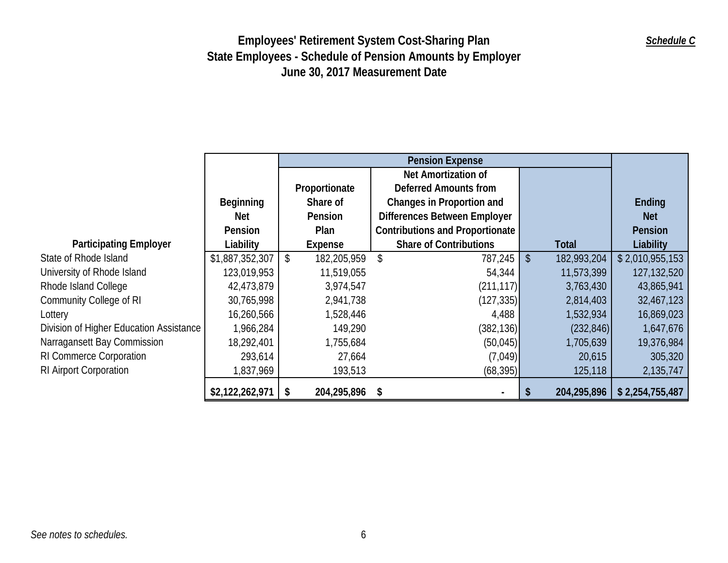|                                         |                 |            |               |    | <b>Pension Expense</b>                 |                           |              |                 |
|-----------------------------------------|-----------------|------------|---------------|----|----------------------------------------|---------------------------|--------------|-----------------|
|                                         |                 |            |               |    | Net Amortization of                    |                           |              |                 |
|                                         |                 |            | Proportionate |    | <b>Deferred Amounts from</b>           |                           |              |                 |
|                                         | Beginning       |            | Share of      |    | <b>Changes in Proportion and</b>       |                           |              | Ending          |
|                                         | Net             |            | Pension       |    | <b>Differences Between Employer</b>    |                           |              | <b>Net</b>      |
|                                         | Pension         |            | Plan          |    | <b>Contributions and Proportionate</b> |                           |              | Pension         |
| <b>Participating Employer</b>           | Liability       |            | Expense       |    | <b>Share of Contributions</b>          |                           | <b>Total</b> | Liability       |
| State of Rhode Island                   | \$1,887,352,307 | $\sqrt{3}$ | 182,205,959   | \$ | 787,245                                | $\boldsymbol{\mathsf{S}}$ | 182,993,204  | \$2,010,955,153 |
| University of Rhode Island              | 123,019,953     |            | 11,519,055    |    | 54,344                                 |                           | 11,573,399   | 127,132,520     |
| Rhode Island College                    | 42,473,879      |            | 3,974,547     |    | (211, 117)                             |                           | 3,763,430    | 43,865,941      |
| Community College of RI                 | 30,765,998      |            | 2,941,738     |    | (127, 335)                             |                           | 2,814,403    | 32,467,123      |
| Lottery                                 | 16,260,566      |            | 1,528,446     |    | 4,488                                  |                           | 1,532,934    | 16,869,023      |
| Division of Higher Education Assistance | 1,966,284       |            | 149,290       |    | (382, 136)                             |                           | (232, 846)   | 1,647,676       |
| Narragansett Bay Commission             | 18,292,401      |            | 1,755,684     |    | (50, 045)                              |                           | 1,705,639    | 19,376,984      |
| RI Commerce Corporation                 | 293,614         |            | 27,664        |    | (7,049)                                |                           | 20,615       | 305,320         |
| RI Airport Corporation                  | 837,969         |            | 193,513       |    | (68, 395)                              |                           | 125,118      | 2,135,747       |
|                                         | \$2,122,262,971 | -S         | 204,295,896   | S  |                                        |                           | 204,295,896  | \$2,254,755,487 |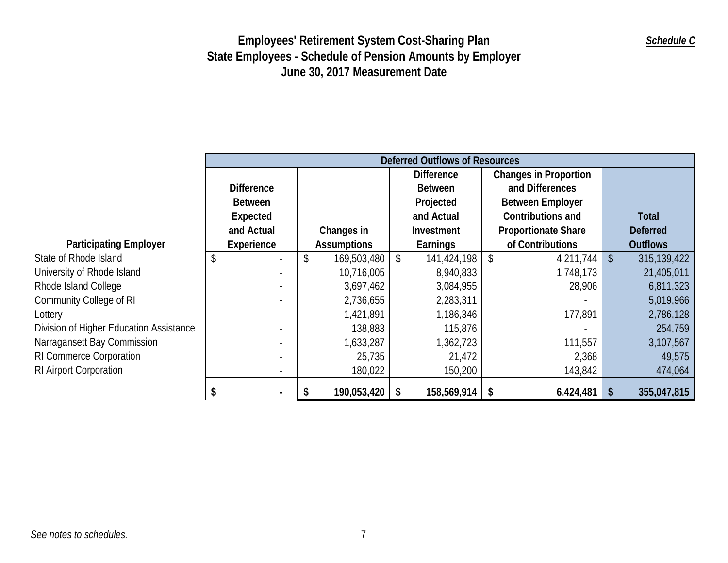|                                         |                                | Deferred Outflows of Resources |                    |    |                   |    |                              |              |                 |  |
|-----------------------------------------|--------------------------------|--------------------------------|--------------------|----|-------------------|----|------------------------------|--------------|-----------------|--|
|                                         |                                |                                |                    |    | <b>Difference</b> |    | <b>Changes in Proportion</b> |              |                 |  |
|                                         | <b>Difference</b>              |                                |                    |    | <b>Between</b>    |    | and Differences              |              |                 |  |
|                                         | <b>Between</b>                 |                                |                    |    | Projected         |    | <b>Between Employer</b>      |              |                 |  |
|                                         | Expected                       |                                |                    |    | and Actual        |    | <b>Contributions and</b>     |              | Total           |  |
|                                         | and Actual                     |                                | Changes in         |    | Investment        |    | <b>Proportionate Share</b>   |              | <b>Deferred</b> |  |
| <b>Participating Employer</b>           | Experience                     |                                | <b>Assumptions</b> |    | Earnings          |    | of Contributions             |              | <b>Outflows</b> |  |
| State of Rhode Island                   | \$<br>$\overline{\phantom{a}}$ | \$                             | 169,503,480        | \$ | 141,424,198       | \$ | 4,211,744                    | $\sqrt[6]{}$ | 315,139,422     |  |
| University of Rhode Island              |                                |                                | 10,716,005         |    | 8,940,833         |    | 1,748,173                    |              | 21,405,011      |  |
| Rhode Island College                    |                                |                                | 3,697,462          |    | 3,084,955         |    | 28,906                       |              | 6,811,323       |  |
| Community College of RI                 |                                |                                | 2,736,655          |    | 2,283,311         |    |                              |              | 5,019,966       |  |
| Lottery                                 |                                |                                | 1,421,891          |    | 1,186,346         |    | 177,891                      |              | 2,786,128       |  |
| Division of Higher Education Assistance | $\blacksquare$                 |                                | 138,883            |    | 115,876           |    |                              |              | 254,759         |  |
| Narragansett Bay Commission             |                                |                                | 1,633,287          |    | 1,362,723         |    | 111,557                      |              | 3,107,567       |  |
| RI Commerce Corporation                 | $\blacksquare$                 |                                | 25,735             |    | 21,472            |    | 2,368                        |              | 49,575          |  |
| RI Airport Corporation                  | $\sim$                         |                                | 180,022            |    | 150,200           |    | 143,842                      |              | 474,064         |  |
|                                         |                                |                                | 190,053,420        | S  | 158,569,914       |    | 6,424,481                    | \$           | 355,047,815     |  |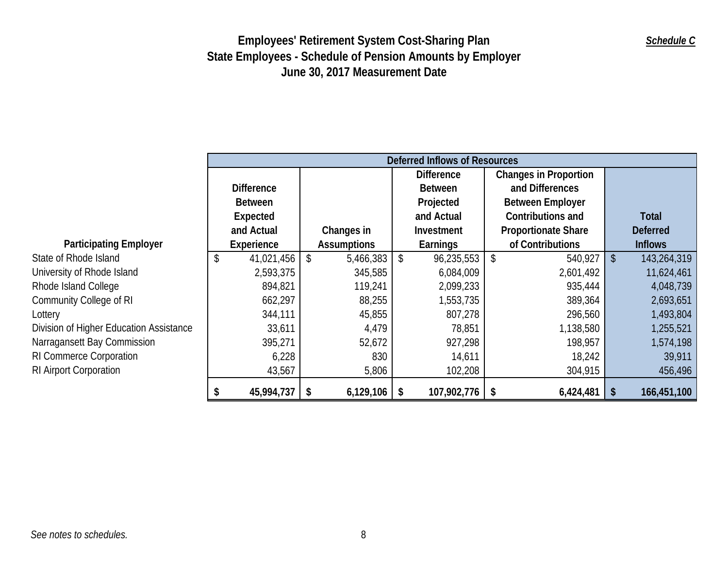|                                         | Deferred Inflows of Resources |    |                    |                |                   |                 |                              |            |                 |
|-----------------------------------------|-------------------------------|----|--------------------|----------------|-------------------|-----------------|------------------------------|------------|-----------------|
|                                         |                               |    |                    |                | <b>Difference</b> |                 | <b>Changes in Proportion</b> |            |                 |
|                                         | <b>Difference</b>             |    |                    | <b>Between</b> |                   | and Differences |                              |            |                 |
|                                         | <b>Between</b>                |    |                    |                | Projected         |                 | <b>Between Employer</b>      |            |                 |
|                                         | <b>Expected</b>               |    |                    |                | and Actual        |                 | Contributions and            |            | <b>Total</b>    |
|                                         | and Actual                    |    | Changes in         |                | Investment        |                 | <b>Proportionate Share</b>   |            | <b>Deferred</b> |
| <b>Participating Employer</b>           | Experience                    |    | <b>Assumptions</b> |                | Earnings          |                 | of Contributions             |            | <b>Inflows</b>  |
| State of Rhode Island                   | \$<br>41,021,456              | \$ | 5,466,383          | \$             | 96,235,553        | \$              | 540,927                      | $\vert$ \$ | 143,264,319     |
| University of Rhode Island              | 2,593,375                     |    | 345,585            |                | 6,084,009         |                 | 2,601,492                    |            | 11,624,461      |
| Rhode Island College                    | 894,821                       |    | 119,241            |                | 2,099,233         |                 | 935,444                      |            | 4,048,739       |
| Community College of RI                 | 662,297                       |    | 88,255             |                | 1,553,735         |                 | 389,364                      |            | 2,693,651       |
| Lottery                                 | 344,111                       |    | 45,855             |                | 807,278           |                 | 296,560                      |            | 1,493,804       |
| Division of Higher Education Assistance | 33,611                        |    | 4,479              |                | 78,851            |                 | 1,138,580                    |            | 1,255,521       |
| Narragansett Bay Commission             | 395,271                       |    | 52,672             |                | 927,298           |                 | 198,957                      |            | 1,574,198       |
| RI Commerce Corporation                 | 6,228                         |    | 830                |                | 14,611            |                 | 18,242                       |            | 39,911          |
| RI Airport Corporation                  | 43,567                        |    | 5,806              |                | 102,208           |                 | 304,915                      |            | 456,496         |
|                                         | 45,994,737                    |    | 6,129,106          | -S             | 107,902,776       | \$              | 6,424,481                    | - \$       | 166,451,100     |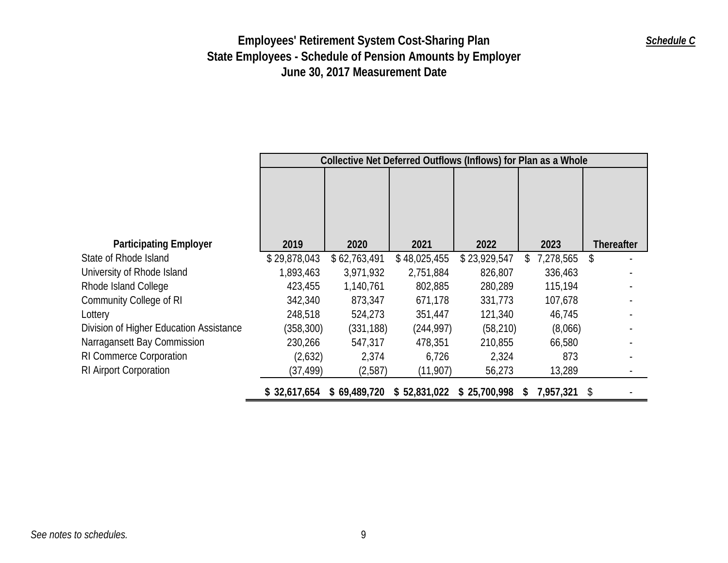|                                         |              | Collective Net Deferred Outflows (Inflows) for Plan as a Whole |              |              |                  |                   |  |  |  |
|-----------------------------------------|--------------|----------------------------------------------------------------|--------------|--------------|------------------|-------------------|--|--|--|
|                                         |              |                                                                |              |              |                  |                   |  |  |  |
| <b>Participating Employer</b>           | 2019         | 2020                                                           | 2021         | 2022         | 2023             | <b>Thereafter</b> |  |  |  |
| State of Rhode Island                   | \$29,878,043 | \$62,763,491                                                   | \$48,025,455 | \$23,929,547 | 7,278,565<br>\$  | \$                |  |  |  |
| University of Rhode Island              | 1,893,463    | 3,971,932                                                      | 2,751,884    | 826,807      | 336,463          |                   |  |  |  |
| Rhode Island College                    | 423,455      | 1,140,761                                                      | 802,885      | 280,289      | 115,194          |                   |  |  |  |
| Community College of RI                 | 342,340      | 873,347                                                        | 671,178      | 331,773      | 107,678          |                   |  |  |  |
| Lottery                                 | 248,518      | 524,273                                                        | 351,447      | 121,340      | 46,745           |                   |  |  |  |
| Division of Higher Education Assistance | (358, 300)   | (331, 188)                                                     | (244, 997)   | (58, 210)    | (8,066)          |                   |  |  |  |
| Narragansett Bay Commission             | 230,266      | 547,317                                                        | 478,351      | 210,855      | 66,580           |                   |  |  |  |
| <b>RI Commerce Corporation</b>          | (2,632)      | 2,374                                                          | 6,726        | 2,324        | 873              |                   |  |  |  |
| RI Airport Corporation                  | (37,499)     | (2,587)                                                        | (11,907)     | 56,273       | 13,289           |                   |  |  |  |
|                                         | \$32,617,654 | \$69,489,720                                                   | \$52,831,022 | \$25,700,998 | 7,957,321<br>-SI | <sup>\$</sup>     |  |  |  |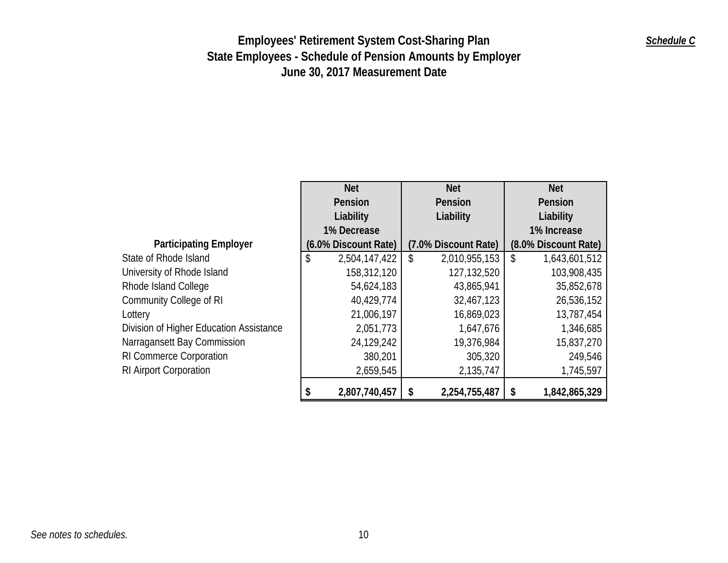## *Schedule C*

|                                         | <b>Net</b>           |           | <b>Net</b>           | <b>Net</b>           |
|-----------------------------------------|----------------------|-----------|----------------------|----------------------|
|                                         | Pension              | Pension   |                      | Pension              |
|                                         | Liability            | Liability |                      | Liability            |
|                                         | 1% Decrease          |           |                      | 1% Increase          |
| <b>Participating Employer</b>           | (6.0% Discount Rate) |           | (7.0% Discount Rate) | (8.0% Discount Rate) |
| State of Rhode Island                   | \$<br>2,504,147,422  | \$        | 2,010,955,153        | \$<br>1,643,601,512  |
| University of Rhode Island              | 158,312,120          |           | 127,132,520          | 103,908,435          |
| Rhode Island College                    | 54,624,183           |           | 43,865,941           | 35,852,678           |
| <b>Community College of RI</b>          | 40,429,774           |           | 32,467,123           | 26,536,152           |
| Lottery                                 | 21,006,197           |           | 16,869,023           | 13,787,454           |
| Division of Higher Education Assistance | 2,051,773            |           | 1,647,676            | 1,346,685            |
| Narragansett Bay Commission             | 24,129,242           |           | 19,376,984           | 15,837,270           |
| RI Commerce Corporation                 | 380,201              |           | 305,320              | 249,546              |
| RI Airport Corporation                  | 2,659,545            |           | 2,135,747            | 1,745,597            |
|                                         | 2,807,740,457        | S         | 2,254,755,487        | \$<br>1,842,865,329  |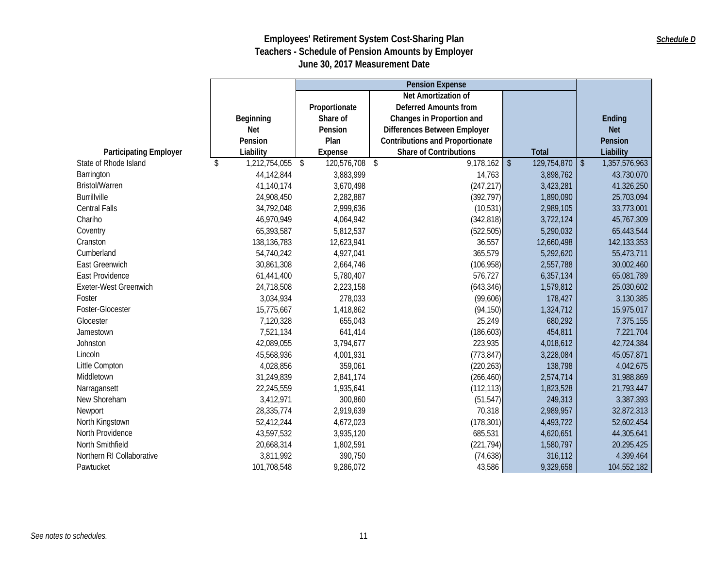|                               |                     |                           | <b>Pension Expense</b>                 |                             |                               |
|-------------------------------|---------------------|---------------------------|----------------------------------------|-----------------------------|-------------------------------|
|                               |                     |                           | Net Amortization of                    |                             |                               |
|                               |                     | Proportionate             | <b>Deferred Amounts from</b>           |                             |                               |
|                               | Beginning           | Share of                  | Changes in Proportion and              |                             | Ending                        |
|                               | <b>Net</b>          | Pension                   | Differences Between Employer           |                             | <b>Net</b>                    |
|                               | Pension             | Plan                      | <b>Contributions and Proportionate</b> |                             | Pension                       |
| <b>Participating Employer</b> | Liability           | <b>Expense</b>            | <b>Share of Contributions</b>          | <b>Total</b>                | Liability                     |
| State of Rhode Island         | 1,212,754,055<br>\$ | 120,576,708<br>$\sqrt{2}$ | 9,178,162<br>\$                        | $\sqrt[6]{}$<br>129,754,870 | 1,357,576,963<br>$\sqrt[6]{}$ |
| Barrington                    | 44,142,844          | 3,883,999                 | 14,763                                 | 3,898,762                   | 43,730,070                    |
| Bristol/Warren                | 41,140,174          | 3,670,498                 | (247, 217)                             | 3,423,281                   | 41,326,250                    |
| <b>Burrillville</b>           | 24,908,450          | 2,282,887                 | (392, 797)                             | 1,890,090                   | 25,703,094                    |
| <b>Central Falls</b>          | 34,792,048          | 2,999,636                 | (10, 531)                              | 2,989,105                   | 33,773,001                    |
| Chariho                       | 46,970,949          | 4,064,942                 | (342, 818)                             | 3,722,124                   | 45,767,309                    |
| Coventry                      | 65,393,587          | 5,812,537                 | (522, 505)                             | 5,290,032                   | 65,443,544                    |
| Cranston                      | 138, 136, 783       | 12,623,941                | 36,557                                 | 12,660,498                  | 142,133,353                   |
| Cumberland                    | 54,740,242          | 4,927,041                 | 365,579                                | 5,292,620                   | 55,473,711                    |
| East Greenwich                | 30,861,308          | 2,664,746                 | (106, 958)                             | 2,557,788                   | 30,002,460                    |
| East Providence               | 61,441,400          | 5,780,407                 | 576,727                                | 6,357,134                   | 65,081,789                    |
| Exeter-West Greenwich         | 24,718,508          | 2,223,158                 | (643, 346)                             | 1,579,812                   | 25,030,602                    |
| Foster                        | 3,034,934           | 278,033                   | (99,606)                               | 178,427                     | 3,130,385                     |
| Foster-Glocester              | 15,775,667          | 1,418,862                 | (94, 150)                              | 1,324,712                   | 15,975,017                    |
| Glocester                     | 7,120,328           | 655,043                   | 25,249                                 | 680,292                     | 7,375,155                     |
| Jamestown                     | 7,521,134           | 641,414                   | (186, 603)                             | 454,811                     | 7,221,704                     |
| Johnston                      | 42,089,055          | 3,794,677                 | 223,935                                | 4,018,612                   | 42,724,384                    |
| Lincoln                       | 45,568,936          | 4,001,931                 | (773, 847)                             | 3,228,084                   | 45,057,871                    |
| Little Compton                | 4,028,856           | 359,061                   | (220, 263)                             | 138,798                     | 4,042,675                     |
| Middletown                    | 31,249,839          | 2,841,174                 | (266, 460)                             | 2,574,714                   | 31,988,869                    |
| Narragansett                  | 22,245,559          | 1,935,641                 | (112, 113)                             | 1,823,528                   | 21,793,447                    |
| New Shoreham                  | 3,412,971           | 300,860                   | (51, 547)                              | 249,313                     | 3,387,393                     |
| Newport                       | 28,335,774          | 2,919,639                 | 70,318                                 | 2,989,957                   | 32,872,313                    |
| North Kingstown               | 52,412,244          | 4,672,023                 | (178, 301)                             | 4,493,722                   | 52,602,454                    |
| North Providence              | 43,597,532          | 3,935,120                 | 685,531                                | 4,620,651                   | 44,305,641                    |
| North Smithfield              | 20,668,314          | 1,802,591                 | (221, 794)                             | 1,580,797                   | 20,295,425                    |
| Northern RI Collaborative     | 3,811,992           | 390,750                   | (74, 638)                              | 316,112                     | 4,399,464                     |
| Pawtucket                     | 101,708,548         | 9,286,072                 | 43,586                                 | 9,329,658                   | 104,552,182                   |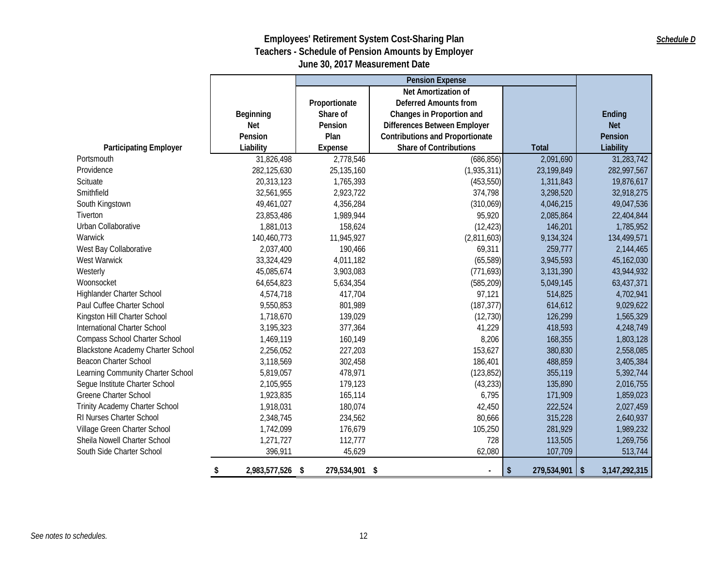#### *Schedule D*

|                                   |                     |                      | <b>Pension Expense</b>                 |                   |                        |
|-----------------------------------|---------------------|----------------------|----------------------------------------|-------------------|------------------------|
|                                   |                     |                      | Net Amortization of                    |                   |                        |
|                                   |                     | Proportionate        | <b>Deferred Amounts from</b>           |                   |                        |
|                                   | Beginning           | Share of             | Changes in Proportion and              |                   | Ending                 |
|                                   | <b>Net</b>          | Pension              | Differences Between Employer           |                   | <b>Net</b>             |
|                                   | Pension             | Plan                 | <b>Contributions and Proportionate</b> |                   | Pension                |
| <b>Participating Employer</b>     | Liability           | Expense              | <b>Share of Contributions</b>          | Total             | Liability              |
| Portsmouth                        | 31,826,498          | 2,778,546            | (686, 856)                             | 2,091,690         | 31,283,742             |
| Providence                        | 282,125,630         | 25,135,160           | (1,935,311)                            | 23,199,849        | 282,997,567            |
| Scituate                          | 20,313,123          | 1,765,393            | (453, 550)                             | 1,311,843         | 19,876,617             |
| Smithfield                        | 32,561,955          | 2,923,722            | 374,798                                | 3,298,520         | 32,918,275             |
| South Kingstown                   | 49,461,027          | 4,356,284            | (310,069)                              | 4,046,215         | 49,047,536             |
| Tiverton                          | 23,853,486          | 1,989,944            | 95,920                                 | 2,085,864         | 22,404,844             |
| Urban Collaborative               | 1,881,013           | 158,624              | (12, 423)                              | 146,201           | 1,785,952              |
| Warwick                           | 140,460,773         | 11,945,927           | (2,811,603)                            | 9,134,324         | 134,499,571            |
| West Bay Collaborative            | 2,037,400           | 190,466              | 69,311                                 | 259,777           | 2,144,465              |
| West Warwick                      | 33,324,429          | 4,011,182            | (65, 589)                              | 3,945,593         | 45,162,030             |
| Westerly                          | 45,085,674          | 3,903,083            | (771, 693)                             | 3,131,390         | 43,944,932             |
| Woonsocket                        | 64,654,823          | 5,634,354            | (585, 209)                             | 5,049,145         | 63,437,371             |
| Highlander Charter School         | 4,574,718           | 417,704              | 97,121                                 | 514,825           | 4,702,941              |
| Paul Cuffee Charter School        | 9,550,853           | 801,989              | (187, 377)                             | 614,612           | 9,029,622              |
| Kingston Hill Charter School      | 1,718,670           | 139,029              | (12, 730)                              | 126,299           | 1,565,329              |
| International Charter School      | 3,195,323           | 377,364              | 41,229                                 | 418,593           | 4,248,749              |
| Compass School Charter School     | 1,469,119           | 160,149              | 8,206                                  | 168,355           | 1,803,128              |
| Blackstone Academy Charter School | 2,256,052           | 227,203              | 153,627                                | 380,830           | 2,558,085              |
| Beacon Charter School             | 3,118,569           | 302,458              | 186,401                                | 488,859           | 3,405,384              |
| Learning Community Charter School | 5,819,057           | 478,971              | (123, 852)                             | 355,119           | 5,392,744              |
| Segue Institute Charter School    | 2,105,955           | 179,123              | (43, 233)                              | 135,890           | 2,016,755              |
| <b>Greene Charter School</b>      | 1,923,835           | 165,114              | 6,795                                  | 171,909           | 1,859,023              |
| Trinity Academy Charter School    | 1,918,031           | 180,074              | 42,450                                 | 222,524           | 2,027,459              |
| RI Nurses Charter School          | 2,348,745           | 234,562              | 80,666                                 | 315,228           | 2,640,937              |
| Village Green Charter School      | 1,742,099           | 176,679              | 105,250                                | 281,929           | 1,989,232              |
| Sheila Nowell Charter School      | 1,271,727           | 112,777              | 728                                    | 113,505           | 1,269,756              |
| South Side Charter School         | 396,911             | 45,629               | 62,080                                 | 107,709           | 513,744                |
|                                   | 2,983,577,526<br>\$ | \$<br>279,534,901 \$ | $\blacksquare$                         | \$<br>279,534,901 | 3, 147, 292, 315<br>\$ |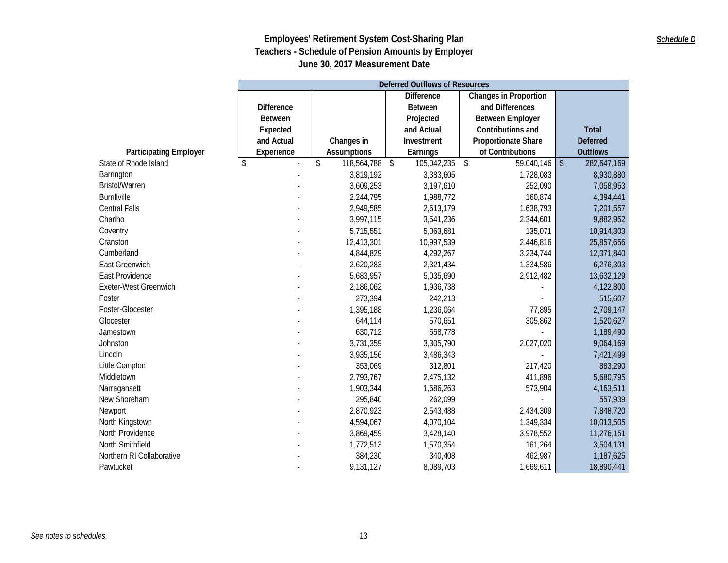|                               |                   | <b>Deferred Outflows of Resources</b> |                             |                              |                              |  |  |  |  |
|-------------------------------|-------------------|---------------------------------------|-----------------------------|------------------------------|------------------------------|--|--|--|--|
|                               |                   |                                       | <b>Difference</b>           | <b>Changes in Proportion</b> |                              |  |  |  |  |
|                               | <b>Difference</b> |                                       | <b>Between</b>              | and Differences              |                              |  |  |  |  |
|                               | <b>Between</b>    |                                       | Projected                   | <b>Between Employer</b>      |                              |  |  |  |  |
|                               | Expected          |                                       | and Actual                  | Contributions and            | <b>Total</b>                 |  |  |  |  |
|                               | and Actual        | Changes in                            | Investment                  | Proportionate Share          | <b>Deferred</b>              |  |  |  |  |
| <b>Participating Employer</b> | Experience        | <b>Assumptions</b>                    | Earnings                    | of Contributions             | <b>Outflows</b>              |  |  |  |  |
| State of Rhode Island         | \$                | \$<br>118,564,788                     | 105,042,235<br>$\sqrt[6]{}$ | \$<br>59,040,146             | $\frac{1}{2}$<br>282,647,169 |  |  |  |  |
| Barrington                    |                   | 3,819,192                             | 3,383,605                   | 1,728,083                    | 8,930,880                    |  |  |  |  |
| <b>Bristol/Warren</b>         |                   | 3,609,253                             | 3,197,610                   | 252,090                      | 7,058,953                    |  |  |  |  |
| <b>Burrillville</b>           |                   | 2,244,795                             | 1,988,772                   | 160,874                      | 4,394,441                    |  |  |  |  |
| <b>Central Falls</b>          |                   | 2,949,585                             | 2,613,179                   | 1,638,793                    | 7,201,557                    |  |  |  |  |
| Chariho                       |                   | 3,997,115                             | 3,541,236                   | 2,344,601                    | 9,882,952                    |  |  |  |  |
| Coventry                      |                   | 5,715,551                             | 5,063,681                   | 135,071                      | 10,914,303                   |  |  |  |  |
| Cranston                      |                   | 12,413,301                            | 10,997,539                  | 2,446,816                    | 25,857,656                   |  |  |  |  |
| Cumberland                    |                   | 4,844,829                             | 4,292,267                   | 3,234,744                    | 12,371,840                   |  |  |  |  |
| East Greenwich                |                   | 2,620,283                             | 2,321,434                   | 1,334,586                    | 6,276,303                    |  |  |  |  |
| East Providence               |                   | 5,683,957                             | 5,035,690                   | 2,912,482                    | 13,632,129                   |  |  |  |  |
| Exeter-West Greenwich         |                   | 2,186,062                             | 1,936,738                   |                              | 4,122,800                    |  |  |  |  |
| Foster                        |                   | 273,394                               | 242,213                     |                              | 515,607                      |  |  |  |  |
| Foster-Glocester              |                   | 1,395,188                             | 1,236,064                   | 77,895                       | 2,709,147                    |  |  |  |  |
| Glocester                     |                   | 644,114                               | 570,651                     | 305,862                      | 1,520,627                    |  |  |  |  |
| Jamestown                     |                   | 630,712                               | 558,778                     |                              | 1,189,490                    |  |  |  |  |
| Johnston                      |                   | 3,731,359                             | 3,305,790                   | 2,027,020                    | 9,064,169                    |  |  |  |  |
| Lincoln                       |                   | 3,935,156                             | 3,486,343                   |                              | 7,421,499                    |  |  |  |  |
| Little Compton                |                   | 353,069                               | 312,801                     | 217,420                      | 883,290                      |  |  |  |  |
| Middletown                    |                   | 2,793,767                             | 2,475,132                   | 411,896                      | 5,680,795                    |  |  |  |  |
| Narragansett                  |                   | 1,903,344                             | 1,686,263                   | 573,904                      | 4, 163, 511                  |  |  |  |  |
| New Shoreham                  |                   | 295,840                               | 262,099                     |                              | 557,939                      |  |  |  |  |
| Newport                       |                   | 2,870,923                             | 2,543,488                   | 2,434,309                    | 7,848,720                    |  |  |  |  |
| North Kingstown               |                   | 4,594,067                             | 4,070,104                   | 1,349,334                    | 10,013,505                   |  |  |  |  |
| North Providence              |                   | 3,869,459                             | 3,428,140                   | 3,978,552                    | 11,276,151                   |  |  |  |  |
| North Smithfield              |                   | 1,772,513                             | 1,570,354                   | 161,264                      | 3,504,131                    |  |  |  |  |
| Northern RI Collaborative     |                   | 384,230                               | 340,408                     | 462,987                      | 1,187,625                    |  |  |  |  |
| Pawtucket                     |                   | 9,131,127                             | 8,089,703                   | 1,669,611                    | 18,890,441                   |  |  |  |  |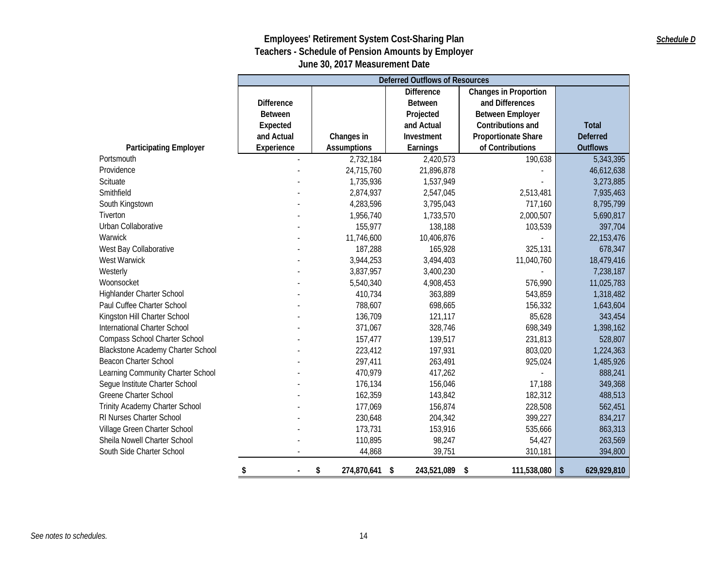#### *Schedule D*

|                                          |                   | <b>Deferred Outflows of Resources</b> |                   |                              |                                        |  |  |  |  |
|------------------------------------------|-------------------|---------------------------------------|-------------------|------------------------------|----------------------------------------|--|--|--|--|
|                                          |                   |                                       | <b>Difference</b> | <b>Changes in Proportion</b> |                                        |  |  |  |  |
|                                          | <b>Difference</b> |                                       | <b>Between</b>    | and Differences              |                                        |  |  |  |  |
|                                          | <b>Between</b>    |                                       | Projected         | <b>Between Employer</b>      |                                        |  |  |  |  |
|                                          | Expected          |                                       | and Actual        | Contributions and            | <b>Total</b>                           |  |  |  |  |
|                                          | and Actual        | Changes in                            | Investment        | <b>Proportionate Share</b>   | <b>Deferred</b>                        |  |  |  |  |
| <b>Participating Employer</b>            | Experience        | <b>Assumptions</b>                    | Earnings          | of Contributions             | <b>Outflows</b>                        |  |  |  |  |
| Portsmouth                               |                   | 2,732,184                             | 2,420,573         | 190,638                      | 5,343,395                              |  |  |  |  |
| Providence                               |                   | 24,715,760                            | 21,896,878        |                              | 46,612,638                             |  |  |  |  |
| Scituate                                 |                   | 1,735,936                             | 1,537,949         |                              | 3,273,885                              |  |  |  |  |
| Smithfield                               |                   | 2,874,937                             | 2,547,045         | 2,513,481                    | 7,935,463                              |  |  |  |  |
| South Kingstown                          |                   | 4,283,596                             | 3,795,043         | 717,160                      | 8,795,799                              |  |  |  |  |
| Tiverton                                 |                   | 1,956,740                             | 1,733,570         | 2,000,507                    | 5,690,817                              |  |  |  |  |
| Urban Collaborative                      |                   | 155,977                               | 138,188           | 103,539                      | 397,704                                |  |  |  |  |
| Warwick                                  |                   | 11,746,600                            | 10,406,876        |                              | 22, 153, 476                           |  |  |  |  |
| West Bay Collaborative                   |                   | 187,288                               | 165,928           | 325,131                      | 678,347                                |  |  |  |  |
| West Warwick                             |                   | 3,944,253                             | 3,494,403         | 11,040,760                   | 18,479,416                             |  |  |  |  |
| Westerly                                 |                   | 3,837,957                             | 3,400,230         |                              | 7,238,187                              |  |  |  |  |
| Woonsocket                               |                   | 5,540,340                             | 4,908,453         | 576,990                      | 11,025,783                             |  |  |  |  |
| Highlander Charter School                |                   | 410,734                               | 363,889           | 543,859                      | 1,318,482                              |  |  |  |  |
| Paul Cuffee Charter School               |                   | 788,607                               | 698,665           | 156,332                      | 1,643,604                              |  |  |  |  |
| Kingston Hill Charter School             |                   | 136,709                               | 121,117           | 85,628                       | 343,454                                |  |  |  |  |
| International Charter School             |                   | 371,067                               | 328,746           | 698,349                      | 1,398,162                              |  |  |  |  |
| Compass School Charter School            |                   | 157,477                               | 139,517           | 231,813                      | 528,807                                |  |  |  |  |
| <b>Blackstone Academy Charter School</b> |                   | 223,412                               | 197,931           | 803,020                      | 1,224,363                              |  |  |  |  |
| <b>Beacon Charter School</b>             |                   | 297,411                               | 263,491           | 925,024                      | 1,485,926                              |  |  |  |  |
| Learning Community Charter School        |                   | 470,979                               | 417,262           |                              | 888,241                                |  |  |  |  |
| Segue Institute Charter School           |                   | 176,134                               | 156,046           | 17,188                       | 349,368                                |  |  |  |  |
| Greene Charter School                    |                   | 162,359                               | 143,842           | 182,312                      | 488,513                                |  |  |  |  |
| Trinity Academy Charter School           |                   | 177,069                               | 156,874           | 228,508                      | 562,451                                |  |  |  |  |
| RI Nurses Charter School                 |                   | 230,648                               | 204,342           | 399,227                      | 834,217                                |  |  |  |  |
| Village Green Charter School             |                   | 173,731                               | 153,916           | 535,666                      | 863,313                                |  |  |  |  |
| Sheila Nowell Charter School             |                   | 110,895                               | 98,247            | 54,427                       | 263,569                                |  |  |  |  |
| South Side Charter School                |                   | 44,868                                | 39,751            | 310,181                      | 394,800                                |  |  |  |  |
|                                          | \$                | 274,870,641<br>\$                     | 243,521,089<br>\$ | 111,538,080<br>\$            | $\sqrt[6]{\frac{1}{2}}$<br>629,929,810 |  |  |  |  |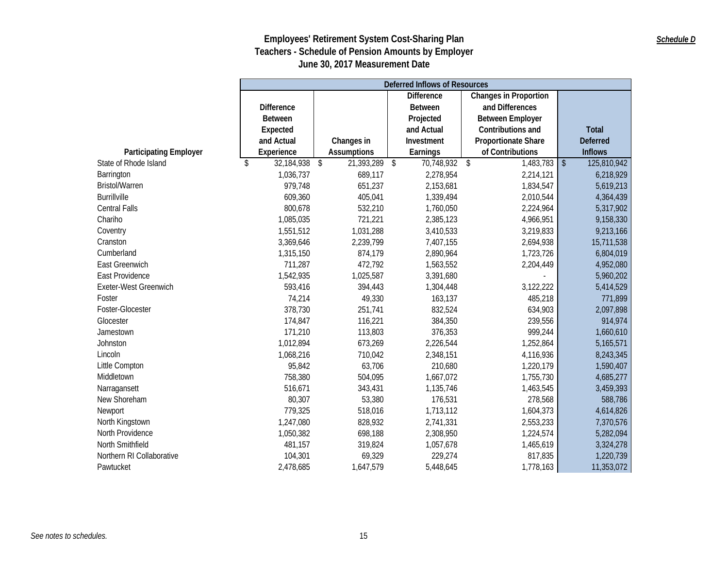|                               | <b>Deferred Inflows of Resources</b> |                     |                                                   |                            |                             |  |  |
|-------------------------------|--------------------------------------|---------------------|---------------------------------------------------|----------------------------|-----------------------------|--|--|
|                               |                                      |                     | <b>Difference</b><br><b>Changes in Proportion</b> |                            |                             |  |  |
|                               | <b>Difference</b>                    | <b>Between</b>      |                                                   | and Differences            |                             |  |  |
|                               | <b>Between</b>                       |                     | Projected                                         | <b>Between Employer</b>    |                             |  |  |
|                               | Expected                             |                     | and Actual                                        | Contributions and          | <b>Total</b>                |  |  |
|                               | and Actual                           | Changes in          | Investment                                        | <b>Proportionate Share</b> | <b>Deferred</b>             |  |  |
| <b>Participating Employer</b> | Experience                           | <b>Assumptions</b>  | Earnings                                          | of Contributions           | <b>Inflows</b>              |  |  |
| State of Rhode Island         | 32,184,938<br>\$                     | \$<br>21,393,289 \$ | 70,748,932                                        | \$<br>1,483,783            | $\sqrt[6]{}$<br>125,810,942 |  |  |
| Barrington                    | 1,036,737                            | 689,117             | 2,278,954                                         | 2,214,121                  | 6,218,929                   |  |  |
| <b>Bristol/Warren</b>         | 979,748                              | 651,237             | 2,153,681                                         | 1,834,547                  | 5,619,213                   |  |  |
| <b>Burrillville</b>           | 609,360                              | 405,041             | 1,339,494                                         | 2,010,544                  | 4,364,439                   |  |  |
| <b>Central Falls</b>          | 800,678                              | 532,210             | 1,760,050                                         | 2,224,964                  | 5,317,902                   |  |  |
| Chariho                       | 1,085,035                            | 721,221             | 2,385,123                                         | 4,966,951                  | 9,158,330                   |  |  |
| Coventry                      | 1,551,512                            | 1,031,288           | 3,410,533                                         | 3,219,833                  | 9,213,166                   |  |  |
| Cranston                      | 3,369,646                            | 2,239,799           | 7,407,155                                         | 2,694,938                  | 15,711,538                  |  |  |
| Cumberland                    | 1,315,150                            | 874,179             | 2,890,964                                         | 1,723,726                  | 6,804,019                   |  |  |
| <b>East Greenwich</b>         | 711,287                              | 472,792             | 1,563,552                                         | 2,204,449                  | 4,952,080                   |  |  |
| East Providence               | 1,542,935                            | 1,025,587           | 3,391,680                                         |                            | 5,960,202                   |  |  |
| Exeter-West Greenwich         | 593,416                              | 394,443             | 1,304,448                                         | 3,122,222                  | 5,414,529                   |  |  |
| Foster                        | 74,214                               | 49,330              | 163,137                                           | 485,218                    | 771,899                     |  |  |
| Foster-Glocester              | 378,730                              | 251,741             | 832,524                                           | 634,903                    | 2,097,898                   |  |  |
| Glocester                     | 174,847                              | 116,221             | 384,350                                           | 239,556                    | 914,974                     |  |  |
| Jamestown                     | 171,210                              | 113,803             | 376,353                                           | 999,244                    | 1,660,610                   |  |  |
| Johnston                      | 1,012,894                            | 673,269             | 2,226,544                                         | 1,252,864                  | 5,165,571                   |  |  |
| Lincoln                       | 1,068,216                            | 710,042             | 2,348,151                                         | 4,116,936                  | 8,243,345                   |  |  |
| Little Compton                | 95,842                               | 63,706              | 210,680                                           | 1,220,179                  | 1,590,407                   |  |  |
| Middletown                    | 758,380                              | 504,095             | 1,667,072                                         | 1,755,730                  | 4,685,277                   |  |  |
| Narragansett                  | 516,671                              | 343,431             | 1,135,746                                         | 1,463,545                  | 3,459,393                   |  |  |
| New Shoreham                  | 80,307                               | 53,380              | 176,531                                           | 278,568                    | 588,786                     |  |  |
| Newport                       | 779,325                              | 518,016             | 1,713,112                                         | 1,604,373                  | 4,614,826                   |  |  |
| North Kingstown               | 1,247,080                            | 828,932             | 2,741,331                                         | 2,553,233                  | 7,370,576                   |  |  |
| North Providence              | 1,050,382                            | 698,188             | 2,308,950                                         | 1,224,574                  | 5,282,094                   |  |  |
| North Smithfield              | 481,157                              | 319,824             | 1,057,678                                         | 1,465,619                  | 3,324,278                   |  |  |
| Northern RI Collaborative     | 104,301                              | 69,329              | 229,274                                           | 817,835                    | 1,220,739                   |  |  |
| Pawtucket                     | 2,478,685                            | 1,647,579           | 5,448,645                                         | 1,778,163                  | 11,353,072                  |  |  |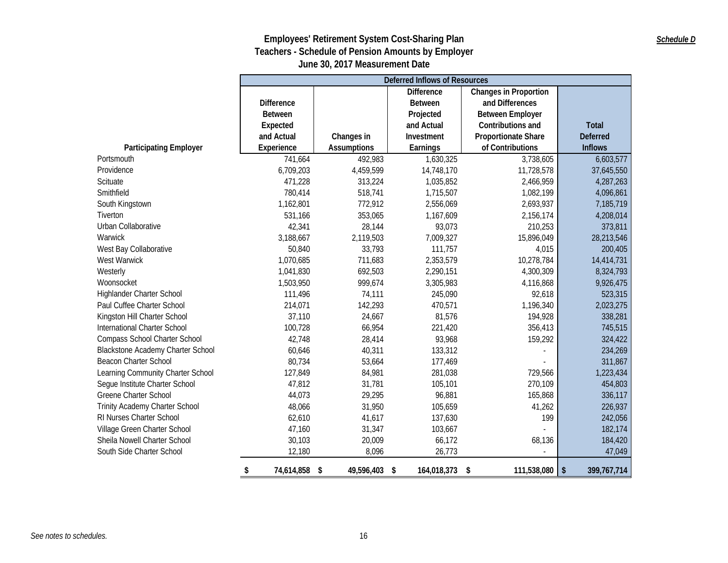|                                          | <b>Deferred Inflows of Resources</b> |                    |                   |                              |                     |  |  |
|------------------------------------------|--------------------------------------|--------------------|-------------------|------------------------------|---------------------|--|--|
|                                          |                                      |                    | <b>Difference</b> | <b>Changes in Proportion</b> |                     |  |  |
|                                          | <b>Difference</b>                    |                    | <b>Between</b>    | and Differences              |                     |  |  |
|                                          | Between                              |                    | Projected         | <b>Between Employer</b>      |                     |  |  |
|                                          | Expected                             |                    | and Actual        | Contributions and            | <b>Total</b>        |  |  |
|                                          | and Actual                           | Changes in         | Investment        | <b>Proportionate Share</b>   | <b>Deferred</b>     |  |  |
| <b>Participating Employer</b>            | Experience                           | <b>Assumptions</b> | Earnings          | of Contributions             | <b>Inflows</b>      |  |  |
| Portsmouth                               | 741,664                              | 492,983            | 1,630,325         | 3,738,605                    | 6,603,577           |  |  |
| Providence                               | 6,709,203                            | 4,459,599          | 14,748,170        | 11,728,578                   | 37,645,550          |  |  |
| Scituate                                 | 471,228                              | 313,224            | 1,035,852         | 2,466,959                    | 4,287,263           |  |  |
| Smithfield                               | 780,414                              | 518,741            | 1,715,507         | 1,082,199                    | 4,096,861           |  |  |
| South Kingstown                          | 1,162,801                            | 772,912            | 2,556,069         | 2,693,937                    | 7,185,719           |  |  |
| Tiverton                                 | 531,166                              | 353,065            | 1,167,609         | 2,156,174                    | 4,208,014           |  |  |
| Urban Collaborative                      | 42,341                               | 28,144             | 93,073            | 210,253                      | 373,811             |  |  |
| Warwick                                  | 3,188,667                            | 2,119,503          | 7,009,327         | 15,896,049                   | 28,213,546          |  |  |
| West Bay Collaborative                   | 50,840                               | 33,793             | 111,757           | 4,015                        | 200,405             |  |  |
| West Warwick                             | 1,070,685                            | 711,683            | 2,353,579         | 10,278,784                   | 14,414,731          |  |  |
| Westerly                                 | 1,041,830                            | 692,503            | 2,290,151         | 4,300,309                    | 8,324,793           |  |  |
| Woonsocket                               | 1,503,950                            | 999,674            | 3,305,983         | 4,116,868                    | 9,926,475           |  |  |
| Highlander Charter School                | 111,496                              | 74,111             | 245,090           | 92,618                       | 523,315             |  |  |
| Paul Cuffee Charter School               | 214,071                              | 142,293            | 470,571           | 1,196,340                    | 2,023,275           |  |  |
| Kingston Hill Charter School             | 37,110                               | 24,667             | 81,576            | 194,928                      | 338,281             |  |  |
| International Charter School             | 100,728                              | 66,954             | 221,420           | 356,413                      | 745,515             |  |  |
| Compass School Charter School            | 42,748                               | 28,414             | 93,968            | 159,292                      | 324,422             |  |  |
| <b>Blackstone Academy Charter School</b> | 60,646                               | 40,311             | 133,312           |                              | 234,269             |  |  |
| Beacon Charter School                    | 80,734                               | 53,664             | 177,469           |                              | 311,867             |  |  |
| Learning Community Charter School        | 127,849                              | 84,981             | 281,038           | 729,566                      | 1,223,434           |  |  |
| Segue Institute Charter School           | 47,812                               | 31,781             | 105,101           | 270,109                      | 454,803             |  |  |
| <b>Greene Charter School</b>             | 44,073                               | 29,295             | 96,881            | 165,868                      | 336,117             |  |  |
| Trinity Academy Charter School           | 48,066                               | 31,950             | 105,659           | 41,262                       | 226,937             |  |  |
| RI Nurses Charter School                 | 62,610                               | 41,617             | 137,630           | 199                          | 242,056             |  |  |
| Village Green Charter School             | 47,160                               | 31,347             | 103,667           |                              | 182,174             |  |  |
| Sheila Nowell Charter School             | 30,103                               | 20,009             | 66,172            | 68,136                       | 184,420             |  |  |
| South Side Charter School                | 12,180                               | 8,096              | 26,773            |                              | 47,049              |  |  |
|                                          | 74,614,858<br>\$                     | \$<br>49,596,403   | 164,018,373<br>\$ | 111,538,080<br>\$            | \$<br>399, 767, 714 |  |  |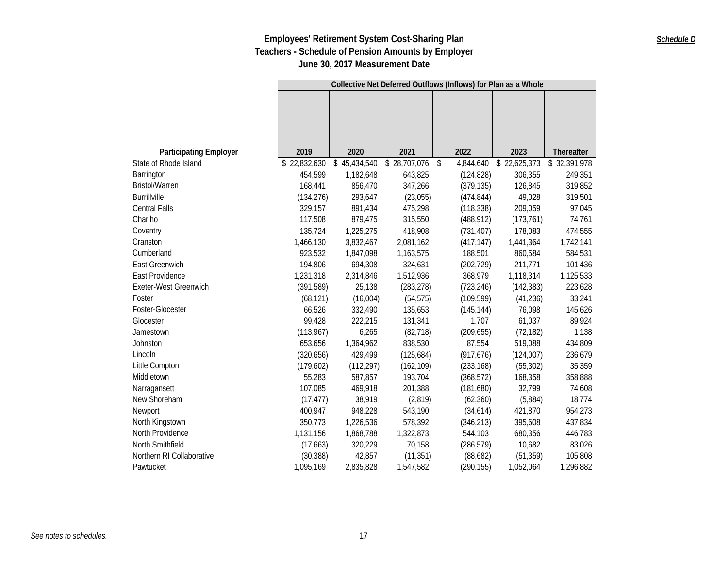|                               |              |              |              | Collective Net Deferred Outflows (Inflows) for Plan as a Whole |              |              |
|-------------------------------|--------------|--------------|--------------|----------------------------------------------------------------|--------------|--------------|
|                               |              |              |              |                                                                |              |              |
|                               |              |              |              |                                                                |              |              |
|                               |              |              |              |                                                                |              |              |
|                               |              |              |              |                                                                |              |              |
| <b>Participating Employer</b> | 2019         | 2020         | 2021         | 2022                                                           | 2023         | Thereafter   |
| State of Rhode Island         | \$22,832,630 | \$45,434,540 | \$28,707,076 | \$<br>4,844,640                                                | \$22,625,373 | \$32,391,978 |
| Barrington                    | 454,599      | 1,182,648    | 643,825      | (124, 828)                                                     | 306,355      | 249,351      |
| Bristol/Warren                | 168,441      | 856,470      | 347,266      | (379, 135)                                                     | 126,845      | 319,852      |
| <b>Burrillville</b>           | (134, 276)   | 293,647      | (23, 055)    | (474, 844)                                                     | 49,028       | 319,501      |
| <b>Central Falls</b>          | 329,157      | 891,434      | 475,298      | (118, 338)                                                     | 209,059      | 97,045       |
| Chariho                       | 117,508      | 879,475      | 315,550      | (488, 912)                                                     | (173, 761)   | 74,761       |
| Coventry                      | 135,724      | 1,225,275    | 418,908      | (731, 407)                                                     | 178,083      | 474,555      |
| Cranston                      | 1,466,130    | 3,832,467    | 2,081,162    | (417, 147)                                                     | 1,441,364    | 1,742,141    |
| Cumberland                    | 923,532      | 1,847,098    | 1,163,575    | 188,501                                                        | 860,584      | 584,531      |
| East Greenwich                | 194,806      | 694,308      | 324,631      | (202, 729)                                                     | 211,771      | 101,436      |
| East Providence               | 1,231,318    | 2,314,846    | 1,512,936    | 368,979                                                        | 1,118,314    | 1,125,533    |
| Exeter-West Greenwich         | (391, 589)   | 25,138       | (283, 278)   | (723, 246)                                                     | (142, 383)   | 223,628      |
| Foster                        | (68, 121)    | (16,004)     | (54, 575)    | (109, 599)                                                     | (41, 236)    | 33,241       |
| Foster-Glocester              | 66,526       | 332,490      | 135,653      | (145, 144)                                                     | 76,098       | 145,626      |
| Glocester                     | 99,428       | 222,215      | 131,341      | 1,707                                                          | 61,037       | 89,924       |
| Jamestown                     | (113, 967)   | 6,265        | (82, 718)    | (209, 655)                                                     | (72, 182)    | 1,138        |
| Johnston                      | 653,656      | 1,364,962    | 838,530      | 87,554                                                         | 519,088      | 434,809      |
| Lincoln                       | (320, 656)   | 429,499      | (125, 684)   | (917, 676)                                                     | (124,007)    | 236,679      |
| Little Compton                | (179, 602)   | (112, 297)   | (162, 109)   | (233, 168)                                                     | (55, 302)    | 35,359       |
| Middletown                    | 55,283       | 587,857      | 193,704      | (368, 572)                                                     | 168,358      | 358,888      |
| Narragansett                  | 107,085      | 469,918      | 201,388      | (181,680)                                                      | 32,799       | 74,608       |
| New Shoreham                  | (17, 477)    | 38,919       | (2,819)      | (62, 360)                                                      | (5,884)      | 18,774       |
| Newport                       | 400,947      | 948,228      | 543,190      | (34, 614)                                                      | 421,870      | 954,273      |
| North Kingstown               | 350,773      | 1,226,536    | 578,392      | (346, 213)                                                     | 395,608      | 437,834      |
| North Providence              | 1,131,156    | 1,868,788    | 1,322,873    | 544,103                                                        | 680,356      | 446,783      |
| North Smithfield              | (17,663)     | 320,229      | 70,158       | (286, 579)                                                     | 10,682       | 83,026       |
| Northern RI Collaborative     | (30, 388)    | 42,857       | (11, 351)    | (88, 682)                                                      | (51, 359)    | 105,808      |
| Pawtucket                     | 1,095,169    | 2,835,828    | 1,547,582    | (290, 155)                                                     | 1,052,064    | 1,296,882    |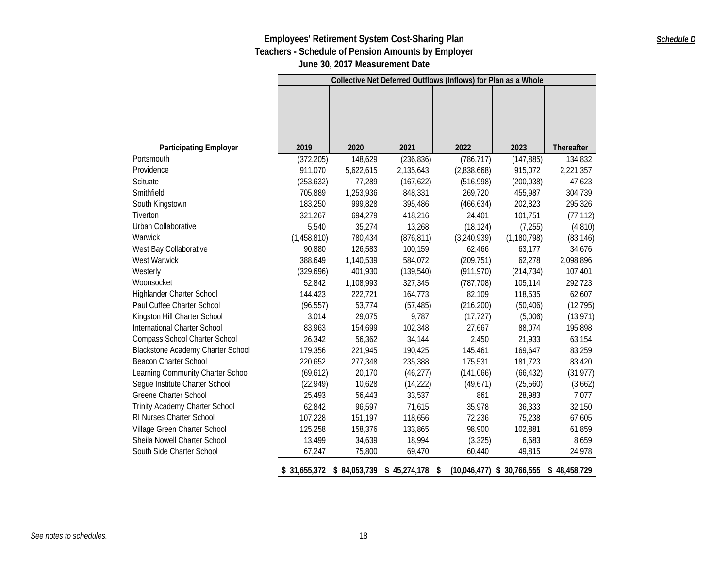## **Employees' Retirement System Cost-Sharing Plan Teachers - Schedule of Pension Amounts by Employer**

**June 30, 2017 Measurement Date**

|                                          |              | Collective Net Deferred Outflows (Inflows) for Plan as a Whole |                              |             |                              |              |  |  |  |
|------------------------------------------|--------------|----------------------------------------------------------------|------------------------------|-------------|------------------------------|--------------|--|--|--|
|                                          |              |                                                                |                              |             |                              |              |  |  |  |
|                                          |              |                                                                |                              |             |                              |              |  |  |  |
|                                          |              |                                                                |                              |             |                              |              |  |  |  |
|                                          |              |                                                                |                              |             |                              |              |  |  |  |
| <b>Participating Employer</b>            | 2019         | 2020                                                           | 2021                         | 2022        | 2023                         | Thereafter   |  |  |  |
| Portsmouth                               | (372, 205)   | 148,629                                                        | (236, 836)                   | (786, 717)  | (147, 885)                   | 134,832      |  |  |  |
| Providence                               | 911,070      | 5,622,615                                                      | 2,135,643                    | (2,838,668) | 915,072                      | 2,221,357    |  |  |  |
| Scituate                                 | (253, 632)   | 77,289                                                         | (167, 622)                   | (516,998)   | (200, 038)                   | 47,623       |  |  |  |
| Smithfield                               | 705,889      | 1,253,936                                                      | 848,331                      | 269,720     | 455,987                      | 304,739      |  |  |  |
| South Kingstown                          | 183,250      | 999,828                                                        | 395,486                      | (466, 634)  | 202,823                      | 295,326      |  |  |  |
| <b>Tiverton</b>                          | 321,267      | 694,279                                                        | 418,216                      | 24,401      | 101,751                      | (77, 112)    |  |  |  |
| Urban Collaborative                      | 5,540        | 35,274                                                         | 13,268                       | (18, 124)   | (7, 255)                     | (4,810)      |  |  |  |
| Warwick                                  | (1,458,810)  | 780,434                                                        | (876, 811)                   | (3,240,939) | (1, 180, 798)                | (83, 146)    |  |  |  |
| West Bay Collaborative                   | 90,880       | 126,583                                                        | 100,159                      | 62,466      | 63,177                       | 34,676       |  |  |  |
| West Warwick                             | 388,649      | 1,140,539                                                      | 584,072                      | (209, 751)  | 62,278                       | 2,098,896    |  |  |  |
| Westerly                                 | (329, 696)   | 401,930                                                        | (139, 540)                   | (911, 970)  | (214, 734)                   | 107,401      |  |  |  |
| Woonsocket                               | 52,842       | 1,108,993                                                      | 327,345                      | (787, 708)  | 105,114                      | 292,723      |  |  |  |
| Highlander Charter School                | 144,423      | 222,721                                                        | 164,773                      | 82,109      | 118,535                      | 62,607       |  |  |  |
| Paul Cuffee Charter School               | (96, 557)    | 53,774                                                         | (57, 485)                    | (216, 200)  | (50, 406)                    | (12, 795)    |  |  |  |
| Kingston Hill Charter School             | 3,014        | 29,075                                                         | 9,787                        | (17, 727)   | (5,006)                      | (13, 971)    |  |  |  |
| International Charter School             | 83,963       | 154,699                                                        | 102,348                      | 27,667      | 88,074                       | 195,898      |  |  |  |
| Compass School Charter School            | 26,342       | 56,362                                                         | 34,144                       | 2,450       | 21,933                       | 63,154       |  |  |  |
| <b>Blackstone Academy Charter School</b> | 179,356      | 221,945                                                        | 190,425                      | 145,461     | 169,647                      | 83,259       |  |  |  |
| Beacon Charter School                    | 220,652      | 277,348                                                        | 235,388                      | 175,531     | 181,723                      | 83,420       |  |  |  |
| Learning Community Charter School        | (69, 612)    | 20,170                                                         | (46, 277)                    | (141,066)   | (66, 432)                    | (31, 977)    |  |  |  |
| Segue Institute Charter School           | (22, 949)    | 10,628                                                         | (14, 222)                    | (49, 671)   | (25, 560)                    | (3,662)      |  |  |  |
| <b>Greene Charter School</b>             | 25,493       | 56,443                                                         | 33,537                       | 861         | 28,983                       | 7,077        |  |  |  |
| Trinity Academy Charter School           | 62,842       | 96,597                                                         | 71,615                       | 35,978      | 36,333                       | 32,150       |  |  |  |
| RI Nurses Charter School                 | 107,228      | 151,197                                                        | 118,656                      | 72,236      | 75,238                       | 67,605       |  |  |  |
| Village Green Charter School             | 125,258      | 158,376                                                        | 133,865                      | 98,900      | 102,881                      | 61,859       |  |  |  |
| Sheila Nowell Charter School             | 13,499       | 34,639                                                         | 18,994                       | (3, 325)    | 6,683                        | 8,659        |  |  |  |
| South Side Charter School                | 67,247       | 75,800                                                         | 69,470                       | 60,440      | 49,815                       | 24,978       |  |  |  |
|                                          | \$31,655,372 |                                                                | \$84,053,739 \$45,274,178 \$ |             | $(10,046,477)$ \$ 30,766,555 | \$48,458,729 |  |  |  |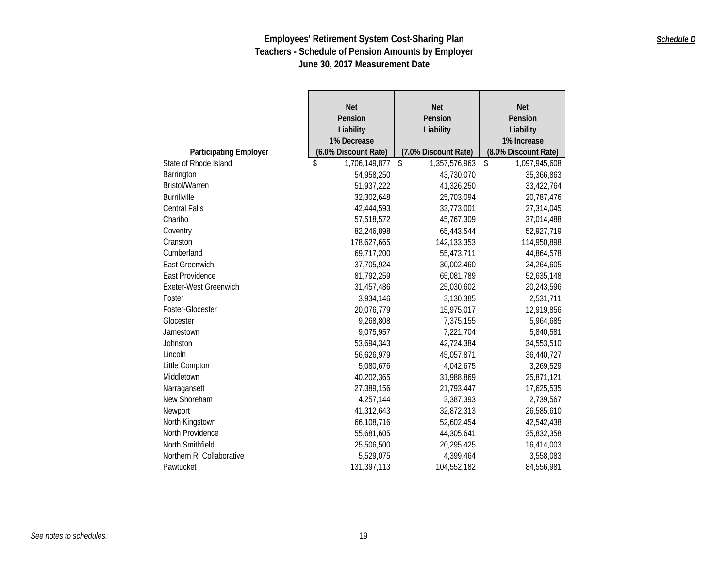|                               | <b>Net</b>           | <b>Net</b>           | <b>Net</b>           |
|-------------------------------|----------------------|----------------------|----------------------|
|                               | Pension              | Pension              | Pension              |
|                               | Liability            | Liability            | Liability            |
|                               | 1% Decrease          |                      | 1% Increase          |
| <b>Participating Employer</b> | (6.0% Discount Rate) | (7.0% Discount Rate) | (8.0% Discount Rate) |
| State of Rhode Island         | \$<br>1,706,149,877  | \$<br>1,357,576,963  | \$<br>1,097,945,608  |
| Barrington                    | 54,958,250           | 43,730,070           | 35,366,863           |
| <b>Bristol/Warren</b>         | 51,937,222           | 41,326,250           | 33,422,764           |
| <b>Burrillville</b>           | 32,302,648           | 25,703,094           | 20,787,476           |
| <b>Central Falls</b>          | 42,444,593           | 33,773,001           | 27,314,045           |
| Chariho                       | 57,518,572           | 45,767,309           | 37,014,488           |
| Coventry                      | 82,246,898           | 65,443,544           | 52,927,719           |
| Cranston                      | 178,627,665          | 142,133,353          | 114,950,898          |
| Cumberland                    | 69,717,200           | 55,473,711           | 44,864,578           |
| East Greenwich                | 37,705,924           | 30,002,460           | 24,264,605           |
| East Providence               | 81,792,259           | 65,081,789           | 52,635,148           |
| <b>Exeter-West Greenwich</b>  | 31,457,486           | 25,030,602           | 20,243,596           |
| Foster                        | 3,934,146            | 3,130,385            | 2,531,711            |
| Foster-Glocester              | 20,076,779           | 15,975,017           | 12,919,856           |
| Glocester                     | 9,268,808            | 7,375,155            | 5,964,685            |
| Jamestown                     | 9,075,957            | 7,221,704            | 5,840,581            |
| Johnston                      | 53,694,343           | 42,724,384           | 34,553,510           |
| Lincoln                       | 56,626,979           | 45,057,871           | 36,440,727           |
| Little Compton                | 5,080,676            | 4,042,675            | 3,269,529            |
| Middletown                    | 40,202,365           | 31,988,869           | 25,871,121           |
| Narragansett                  | 27,389,156           | 21,793,447           | 17,625,535           |
| New Shoreham                  | 4,257,144            | 3,387,393            | 2,739,567            |
| Newport                       | 41,312,643           | 32,872,313           | 26,585,610           |
| North Kingstown               | 66,108,716           | 52,602,454           | 42,542,438           |
| North Providence              | 55,681,605           | 44,305,641           | 35,832,358           |
| North Smithfield              | 25,506,500           | 20,295,425           | 16,414,003           |
| Northern RI Collaborative     | 5,529,075            | 4,399,464            | 3,558,083            |
| Pawtucket                     | 131,397,113          | 104,552,182          | 84,556,981           |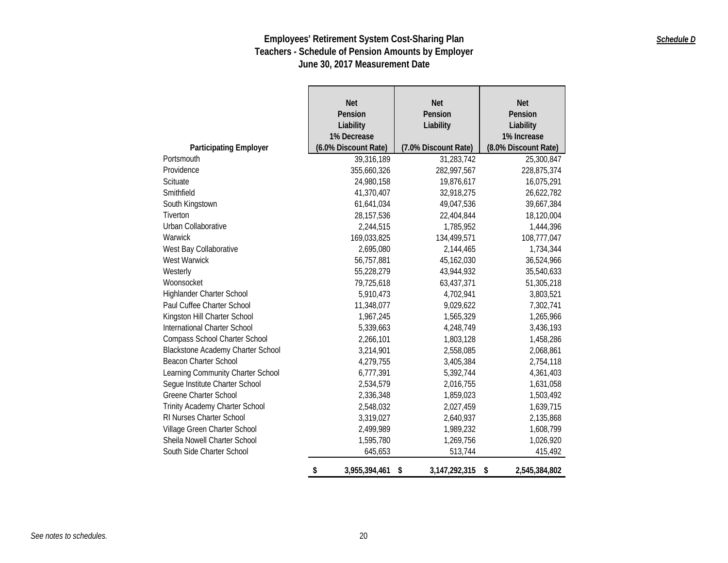|                                          | <b>Net</b><br>Pension<br>Liability<br>1% Decrease | <b>Net</b><br>Pension<br>Liability | <b>Net</b><br>Pension<br>Liability<br>1% Increase |
|------------------------------------------|---------------------------------------------------|------------------------------------|---------------------------------------------------|
| <b>Participating Employer</b>            | (6.0% Discount Rate)                              | (7.0% Discount Rate)               | (8.0% Discount Rate)                              |
| Portsmouth                               | 39,316,189                                        | 31,283,742                         | 25,300,847                                        |
| Providence                               | 355,660,326                                       | 282,997,567                        | 228,875,374                                       |
| Scituate                                 | 24,980,158                                        | 19,876,617                         | 16,075,291                                        |
| Smithfield                               | 41,370,407                                        | 32,918,275                         | 26,622,782                                        |
| South Kingstown                          | 61,641,034                                        | 49,047,536                         | 39,667,384                                        |
| Tiverton                                 | 28, 157, 536                                      | 22,404,844                         | 18,120,004                                        |
| Urban Collaborative                      | 2,244,515                                         | 1,785,952                          | 1,444,396                                         |
| Warwick                                  | 169,033,825                                       | 134,499,571                        | 108,777,047                                       |
| West Bay Collaborative                   | 2,695,080                                         | 2,144,465                          | 1,734,344                                         |
| West Warwick                             | 56,757,881                                        | 45,162,030                         | 36,524,966                                        |
| Westerly                                 | 55,228,279                                        | 43,944,932                         | 35,540,633                                        |
| Woonsocket                               | 79,725,618                                        | 63,437,371                         | 51,305,218                                        |
| Highlander Charter School                | 5,910,473                                         | 4,702,941                          | 3,803,521                                         |
| Paul Cuffee Charter School               | 11,348,077                                        | 9,029,622                          | 7,302,741                                         |
| Kingston Hill Charter School             | 1,967,245                                         | 1,565,329                          | 1,265,966                                         |
| International Charter School             | 5,339,663                                         | 4,248,749                          | 3,436,193                                         |
| Compass School Charter School            | 2,266,101                                         | 1,803,128                          | 1,458,286                                         |
| <b>Blackstone Academy Charter School</b> | 3,214,901                                         | 2,558,085                          | 2,068,861                                         |
| <b>Beacon Charter School</b>             | 4,279,755                                         | 3,405,384                          | 2,754,118                                         |
| Learning Community Charter School        | 6,777,391                                         | 5,392,744                          | 4,361,403                                         |
| Segue Institute Charter School           | 2,534,579                                         | 2,016,755                          | 1,631,058                                         |
| <b>Greene Charter School</b>             | 2,336,348                                         | 1,859,023                          | 1,503,492                                         |
| Trinity Academy Charter School           | 2,548,032                                         | 2,027,459                          | 1,639,715                                         |
| RI Nurses Charter School                 | 3,319,027                                         | 2,640,937                          | 2,135,868                                         |
| Village Green Charter School             | 2,499,989                                         | 1,989,232                          | 1,608,799                                         |
| Sheila Nowell Charter School             | 1,595,780                                         | 1,269,756                          | 1,026,920                                         |
| South Side Charter School                | 645,653                                           | 513,744                            | 415,492                                           |
|                                          | \$<br>3,955,394,461                               | \$<br>3, 147, 292, 315             | \$<br>2,545,384,802                               |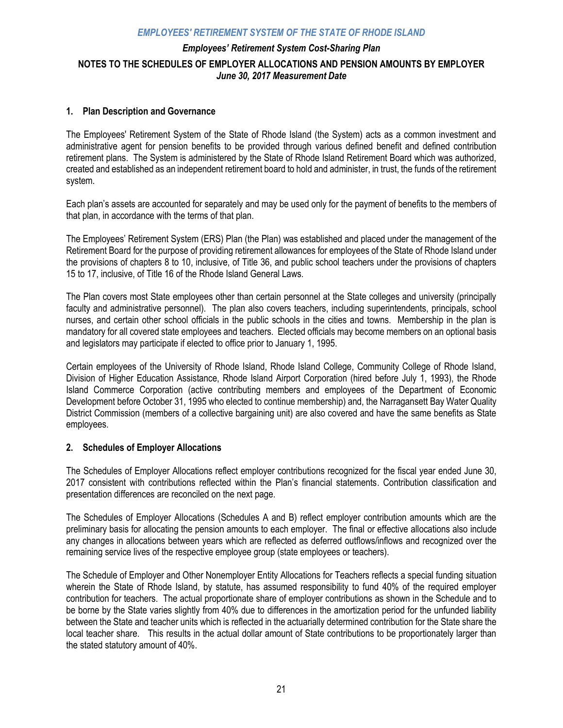## *Employees' Retirement System Cost-Sharing Plan*  **NOTES TO THE SCHEDULES OF EMPLOYER ALLOCATIONS AND PENSION AMOUNTS BY EMPLOYER**  *June 30, 2017 Measurement Date*

### **1. Plan Description and Governance**

The Employees' Retirement System of the State of Rhode Island (the System) acts as a common investment and administrative agent for pension benefits to be provided through various defined benefit and defined contribution retirement plans. The System is administered by the State of Rhode Island Retirement Board which was authorized, created and established as an independent retirement board to hold and administer, in trust, the funds of the retirement system.

Each plan's assets are accounted for separately and may be used only for the payment of benefits to the members of that plan, in accordance with the terms of that plan.

The Employees' Retirement System (ERS) Plan (the Plan) was established and placed under the management of the Retirement Board for the purpose of providing retirement allowances for employees of the State of Rhode Island under the provisions of chapters 8 to 10, inclusive, of Title 36, and public school teachers under the provisions of chapters 15 to 17, inclusive, of Title 16 of the Rhode Island General Laws.

The Plan covers most State employees other than certain personnel at the State colleges and university (principally faculty and administrative personnel). The plan also covers teachers, including superintendents, principals, school nurses, and certain other school officials in the public schools in the cities and towns. Membership in the plan is mandatory for all covered state employees and teachers. Elected officials may become members on an optional basis and legislators may participate if elected to office prior to January 1, 1995.

Certain employees of the University of Rhode Island, Rhode Island College, Community College of Rhode Island, Division of Higher Education Assistance, Rhode Island Airport Corporation (hired before July 1, 1993), the Rhode Island Commerce Corporation (active contributing members and employees of the Department of Economic Development before October 31, 1995 who elected to continue membership) and, the Narragansett Bay Water Quality District Commission (members of a collective bargaining unit) are also covered and have the same benefits as State employees.

#### **2. Schedules of Employer Allocations**

The Schedules of Employer Allocations reflect employer contributions recognized for the fiscal year ended June 30, 2017 consistent with contributions reflected within the Plan's financial statements. Contribution classification and presentation differences are reconciled on the next page.

The Schedules of Employer Allocations (Schedules A and B) reflect employer contribution amounts which are the preliminary basis for allocating the pension amounts to each employer. The final or effective allocations also include any changes in allocations between years which are reflected as deferred outflows/inflows and recognized over the remaining service lives of the respective employee group (state employees or teachers).

The Schedule of Employer and Other Nonemployer Entity Allocations for Teachers reflects a special funding situation wherein the State of Rhode Island, by statute, has assumed responsibility to fund 40% of the required employer contribution for teachers. The actual proportionate share of employer contributions as shown in the Schedule and to be borne by the State varies slightly from 40% due to differences in the amortization period for the unfunded liability between the State and teacher units which is reflected in the actuarially determined contribution for the State share the local teacher share. This results in the actual dollar amount of State contributions to be proportionately larger than the stated statutory amount of 40%.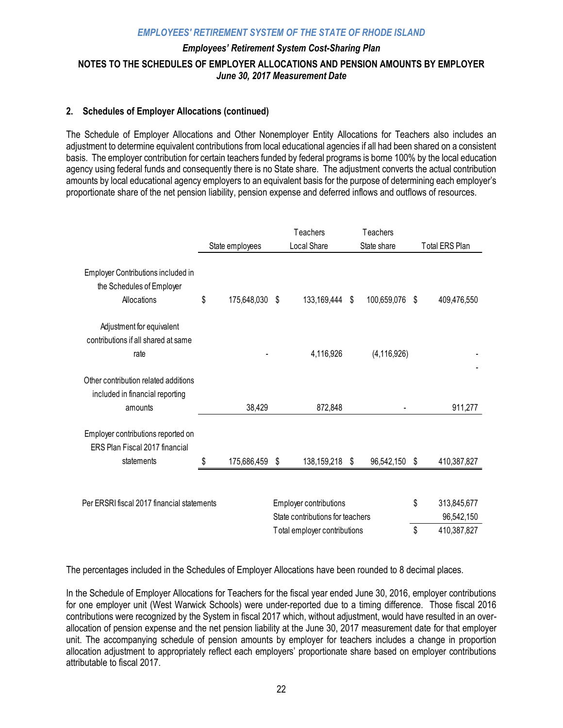## *Employees' Retirement System Cost-Sharing Plan*  **NOTES TO THE SCHEDULES OF EMPLOYER ALLOCATIONS AND PENSION AMOUNTS BY EMPLOYER**  *June 30, 2017 Measurement Date*

### **2. Schedules of Employer Allocations (continued)**

The Schedule of Employer Allocations and Other Nonemployer Entity Allocations for Teachers also includes an adjustment to determine equivalent contributions from local educational agencies if all had been shared on a consistent basis. The employer contribution for certain teachers funded by federal programs is borne 100% by the local education agency using federal funds and consequently there is no State share. The adjustment converts the actual contribution amounts by local educational agency employers to an equivalent basis for the purpose of determining each employer's proportionate share of the net pension liability, pension expense and deferred inflows and outflows of resources.

|                                                                                    |    |                 | Teachers                         | Teachers          |                   |
|------------------------------------------------------------------------------------|----|-----------------|----------------------------------|-------------------|-------------------|
|                                                                                    |    | State employees | Local Share                      | State share       | Total ERS Plan    |
| Employer Contributions included in<br>the Schedules of Employer<br>Allocations     | \$ | 175,648,030     | \$<br>133,169,444                | \$<br>100,659,076 | \$<br>409,476,550 |
| Adjustment for equivalent<br>contributions if all shared at same<br>rate           |    |                 | 4,116,926                        | (4, 116, 926)     |                   |
| Other contribution related additions<br>included in financial reporting<br>amounts |    | 38,429          | 872,848                          |                   | 911,277           |
| Employer contributions reported on<br>ERS Plan Fiscal 2017 financial<br>statements | S  |                 |                                  |                   |                   |
|                                                                                    |    | 175,686,459 \$  | 138,159,218 \$                   | 96,542,150 \$     | 410,387,827       |
| Per ERSRI fiscal 2017 financial statements                                         |    |                 | Employer contributions           |                   | \$<br>313,845,677 |
|                                                                                    |    |                 | State contributions for teachers |                   | 96,542,150        |
|                                                                                    |    |                 | Total employer contributions     |                   | \$<br>410,387,827 |

The percentages included in the Schedules of Employer Allocations have been rounded to 8 decimal places.

In the Schedule of Employer Allocations for Teachers for the fiscal year ended June 30, 2016, employer contributions for one employer unit (West Warwick Schools) were under-reported due to a timing difference. Those fiscal 2016 contributions were recognized by the System in fiscal 2017 which, without adjustment, would have resulted in an overallocation of pension expense and the net pension liability at the June 30, 2017 measurement date for that employer unit. The accompanying schedule of pension amounts by employer for teachers includes a change in proportion allocation adjustment to appropriately reflect each employers' proportionate share based on employer contributions attributable to fiscal 2017.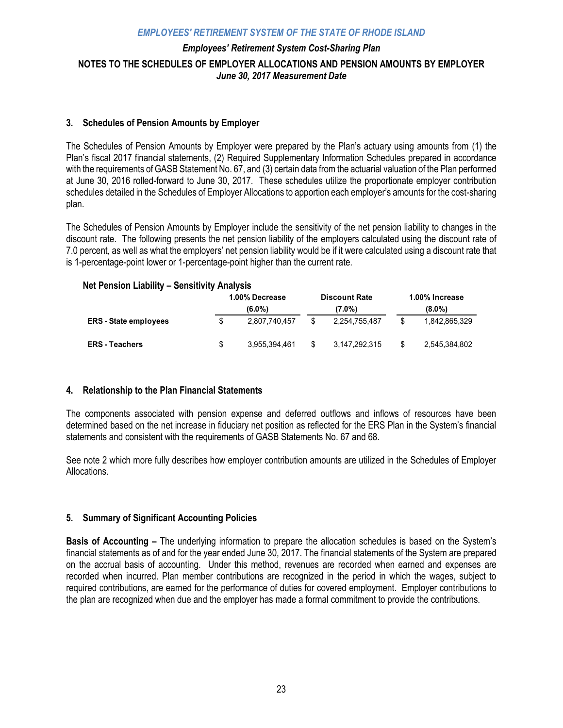## *Employees' Retirement System Cost-Sharing Plan*  **NOTES TO THE SCHEDULES OF EMPLOYER ALLOCATIONS AND PENSION AMOUNTS BY EMPLOYER**  *June 30, 2017 Measurement Date*

#### **3. Schedules of Pension Amounts by Employer**

The Schedules of Pension Amounts by Employer were prepared by the Plan's actuary using amounts from (1) the Plan's fiscal 2017 financial statements, (2) Required Supplementary Information Schedules prepared in accordance with the requirements of GASB Statement No. 67, and (3) certain data from the actuarial valuation of the Plan performed at June 30, 2016 rolled-forward to June 30, 2017. These schedules utilize the proportionate employer contribution schedules detailed in the Schedules of Employer Allocations to apportion each employer's amounts for the cost-sharing plan.

The Schedules of Pension Amounts by Employer include the sensitivity of the net pension liability to changes in the discount rate. The following presents the net pension liability of the employers calculated using the discount rate of 7.0 percent, as well as what the employers' net pension liability would be if it were calculated using a discount rate that is 1-percentage-point lower or 1-percentage-point higher than the current rate.

#### **Net Pension Liability – Sensitivity Analysis**

|                              |   | 1.00% Decrease<br><b>Discount Rate</b><br>(6.0%)<br>(7.0%) |    |               | 1.00% Increase<br>$(8.0\%)$ |               |  |
|------------------------------|---|------------------------------------------------------------|----|---------------|-----------------------------|---------------|--|
| <b>ERS</b> - State employees |   | 2.807.740.457                                              |    | 2.254.755.487 | \$                          | 1.842.865.329 |  |
| <b>ERS</b> - Teachers        | S | 3.955.394.461                                              | \$ | 3,147,292,315 | \$                          | 2,545,384,802 |  |

#### **4. Relationship to the Plan Financial Statements**

The components associated with pension expense and deferred outflows and inflows of resources have been determined based on the net increase in fiduciary net position as reflected for the ERS Plan in the System's financial statements and consistent with the requirements of GASB Statements No. 67 and 68.

See note 2 which more fully describes how employer contribution amounts are utilized in the Schedules of Employer Allocations.

### **5. Summary of Significant Accounting Policies**

**Basis of Accounting –** The underlying information to prepare the allocation schedules is based on the System's financial statements as of and for the year ended June 30, 2017. The financial statements of the System are prepared on the accrual basis of accounting. Under this method, revenues are recorded when earned and expenses are recorded when incurred. Plan member contributions are recognized in the period in which the wages, subject to required contributions, are earned for the performance of duties for covered employment. Employer contributions to the plan are recognized when due and the employer has made a formal commitment to provide the contributions.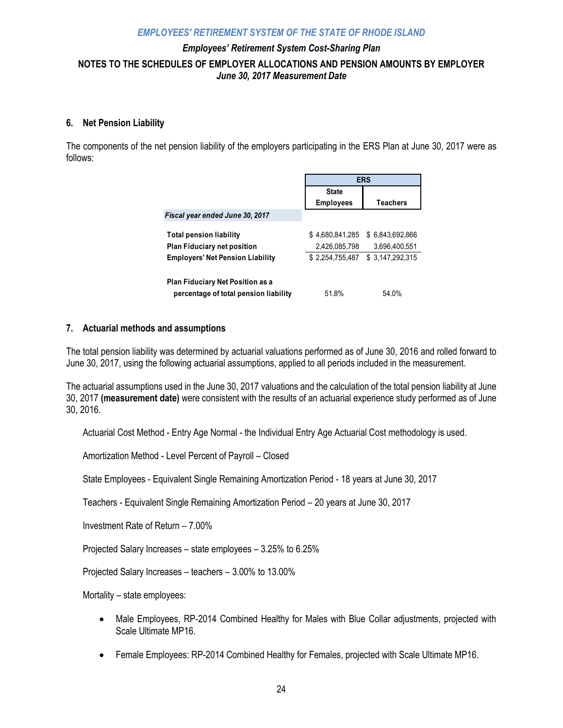## *Employees' Retirement System Cost-Sharing Plan*  **NOTES TO THE SCHEDULES OF EMPLOYER ALLOCATIONS AND PENSION AMOUNTS BY EMPLOYER**  *June 30, 2017 Measurement Date*

#### **6. Net Pension Liability**

The components of the net pension liability of the employers participating in the ERS Plan at June 30, 2017 were as follows:

|                                         | <b>ERS</b>       |                 |  |
|-----------------------------------------|------------------|-----------------|--|
|                                         | <b>State</b>     |                 |  |
|                                         | <b>Employees</b> | <b>Teachers</b> |  |
| Fiscal year ended June 30, 2017         |                  |                 |  |
| <b>Total pension liability</b>          | \$4.680.841.285  | \$6.843.692.866 |  |
| <b>Plan Fiduciary net position</b>      | 2,426,085,798    | 3.696.400.551   |  |
| <b>Employers' Net Pension Liability</b> | \$2.254.755.487  | \$3.147.292.315 |  |
| Plan Fiduciary Net Position as a        |                  |                 |  |
| percentage of total pension liability   | 51.8%            | 54.0%           |  |

### **7. Actuarial methods and assumptions**

The total pension liability was determined by actuarial valuations performed as of June 30, 2016 and rolled forward to June 30, 2017, using the following actuarial assumptions, applied to all periods included in the measurement.

The actuarial assumptions used in the June 30, 2017 valuations and the calculation of the total pension liability at June 30, 2017 **(measurement date)** were consistent with the results of an actuarial experience study performed as of June 30, 2016.

Actuarial Cost Method - Entry Age Normal - the Individual Entry Age Actuarial Cost methodology is used.

Amortization Method - Level Percent of Payroll – Closed

State Employees - Equivalent Single Remaining Amortization Period - 18 years at June 30, 2017

Teachers - Equivalent Single Remaining Amortization Period – 20 years at June 30, 2017

Investment Rate of Return – 7.00%

Projected Salary Increases – state employees – 3.25% to 6.25%

Projected Salary Increases – teachers – 3.00% to 13.00%

Mortality – state employees:

- Male Employees, RP-2014 Combined Healthy for Males with Blue Collar adjustments, projected with Scale Ultimate MP16.
- Female Employees: RP-2014 Combined Healthy for Females, projected with Scale Ultimate MP16.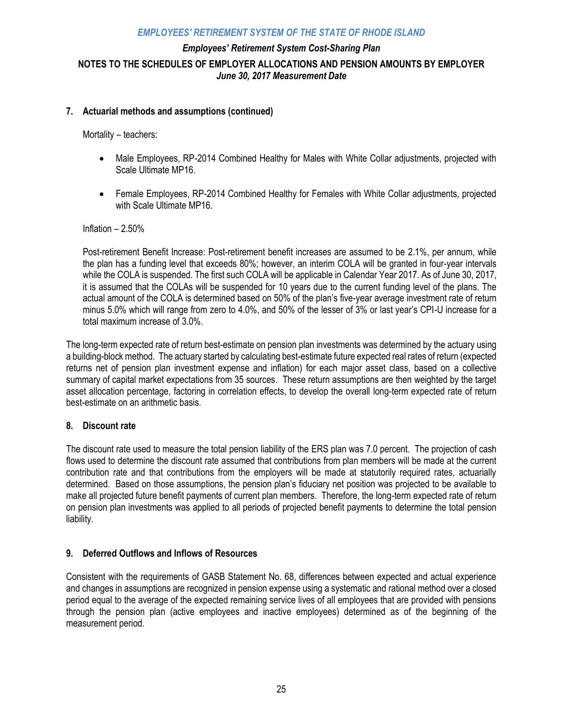## *Employees' Retirement System Cost-Sharing Plan*  **NOTES TO THE SCHEDULES OF EMPLOYER ALLOCATIONS AND PENSION AMOUNTS BY EMPLOYER**  *June 30, 2017 Measurement Date*

#### **7. Actuarial methods and assumptions (continued)**

Mortality – teachers:

- Male Employees, RP-2014 Combined Healthy for Males with White Collar adjustments, projected with Scale Ultimate MP16.
- Female Employees, RP-2014 Combined Healthy for Females with White Collar adjustments, projected with Scale Ultimate MP16.

#### Inflation – 2.50%

Post-retirement Benefit Increase: Post-retirement benefit increases are assumed to be 2.1%, per annum, while the plan has a funding level that exceeds 80%; however, an interim COLA will be granted in four-year intervals while the COLA is suspended. The first such COLA will be applicable in Calendar Year 2017. As of June 30, 2017, it is assumed that the COLAs will be suspended for 10 years due to the current funding level of the plans. The actual amount of the COLA is determined based on 50% of the plan's five-year average investment rate of return minus 5.0% which will range from zero to 4.0%, and 50% of the lesser of 3% or last year's CPI-U increase for a total maximum increase of 3.0%.

The long-term expected rate of return best-estimate on pension plan investments was determined by the actuary using a building-block method. The actuary started by calculating best-estimate future expected real rates of return (expected returns net of pension plan investment expense and inflation) for each major asset class, based on a collective summary of capital market expectations from 35 sources. These return assumptions are then weighted by the target asset allocation percentage, factoring in correlation effects, to develop the overall long-term expected rate of return best-estimate on an arithmetic basis.

#### **8. Discount rate**

The discount rate used to measure the total pension liability of the ERS plan was 7.0 percent. The projection of cash flows used to determine the discount rate assumed that contributions from plan members will be made at the current contribution rate and that contributions from the employers will be made at statutorily required rates, actuarially determined. Based on those assumptions, the pension plan's fiduciary net position was projected to be available to make all projected future benefit payments of current plan members. Therefore, the long-term expected rate of return on pension plan investments was applied to all periods of projected benefit payments to determine the total pension liability.

#### **9. Deferred Outflows and Inflows of Resources**

Consistent with the requirements of GASB Statement No. 68, differences between expected and actual experience and changes in assumptions are recognized in pension expense using a systematic and rational method over a closed period equal to the average of the expected remaining service lives of all employees that are provided with pensions through the pension plan (active employees and inactive employees) determined as of the beginning of the measurement period.